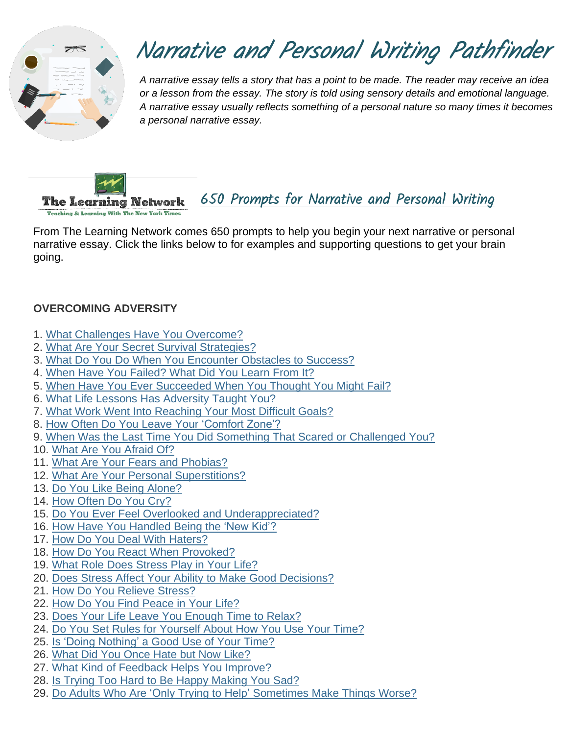

# Narrative and Personal Writing Pathfinder

*A narrative essay tells a story that has a point to be made. The reader may receive an idea or a lesson from the essay. The story is told using sensory details and emotional language. A narrative essay usually reflects something of a personal nature so many times it becomes a personal narrative essay.*



[650 Prompts for Narrative and Personal Writing](https://www.nytimes.com/2016/10/20/learning/lesson-plans/650-prompts-for-narrative-and-personal-writing.html) 

**Teaching & Learning With The New York Times** 

From The Learning Network comes 650 prompts to help you begin your next narrative or personal narrative essay. Click the links below to for examples and supporting questions to get your brain going.

## **OVERCOMING ADVERSITY**

- 1. What Challenges Have You [Overcome?](http://learning.blogs.nytimes.com/2014/03/05/what-challenges-have-you-overcome/)
- 2. What Are Your Secret Survival [Strategies?](http://learning.blogs.nytimes.com/2014/01/31/what-are-your-secret-survival-strategies/)
- 3. What Do You Do When You [Encounter](http://learning.blogs.nytimes.com/2013/01/23/what-do-you-do-when-you-encounter-obstacles-to-success/) Obstacles to Success?
- 4. When Have You [Failed?](http://learning.blogs.nytimes.com/2016/03/09/student-question-when-have-you-failed-what-did-you-learn-from-it/) What Did You Learn From It?
- 5. When Have You Ever [Succeeded](http://learning.blogs.nytimes.com/2012/09/11/when-have-you-ever-succeeded-when-you-thought-you-might-fail/) When You Thought You Might Fail?
- 6. What Life Lessons Has [Adversity](http://learning.blogs.nytimes.com/2010/06/08/what-life-lessons-has-adversity-taught-you/) Taught You?
- 7. What Work Went Into [Reaching](http://learning.blogs.nytimes.com/2014/11/03/what-work-went-into-reaching-your-most-difficult-goals/) Your Most Difficult Goals?
- 8. How Often Do You Leave Your ['Comfort](http://learning.blogs.nytimes.com/2013/01/09/how-often-do-you-leave-your-comfort-zone/) Zone'?
- 9. When Was the Last Time You Did Something That Scared or [Challenged](http://learning.blogs.nytimes.com/2016/01/15/student-question-when-was-the-last-time-you-did-something-that-scared-or-challenged-you/) You?
- 10. What Are You [Afraid](http://learning.blogs.nytimes.com/2011/10/25/what-are-you-afraid-of/) Of?
- 11. What Are Your Fears and [Phobias?](http://learning.blogs.nytimes.com/2014/10/23/what-are-your-fears-and-phobias/)
- 12. What Are Your Personal [Superstitions?](http://learning.blogs.nytimes.com/2010/11/05/student-opinion-what-are-your-personal-superstitions/)
- 13. Do You Like Being [Alone?](http://learning.blogs.nytimes.com/2012/02/06/do-you-like-being-alone/)
- 14. How [Often](http://learning.blogs.nytimes.com/2012/11/13/how-often-do-you-cry/) Do You Cry?
- 15. Do You Ever Feel Overlooked and [Underappreciated?](http://learning.blogs.nytimes.com/2014/01/30/do-you-ever-feel-overlooked-and-underappreciated/)
- 16. How Have You [Handled](http://learning.blogs.nytimes.com/2014/05/21/how-have-you-handled-being-the-new-kid/) Being the 'New Kid'?
- 17. How Do You Deal With [Haters?](http://learning.blogs.nytimes.com/2016/03/23/student-question-how-do-you-deal-with-haters/)
- 18. How Do You React When [Provoked?](http://learning.blogs.nytimes.com/2013/05/07/how-do-you-react-when-provoked/)
- 19. What Role Does [Stress](http://learning.blogs.nytimes.com/2016/01/04/what-role-does-stress-play-in-your-life/) Play in Your Life?
- 20. Does Stress Affect Your Ability to Make Good [Decisions?](http://learning.blogs.nytimes.com/2014/10/20/does-stress-affect-your-ability-to-make-good-decisions/)
- 21. How Do You Relieve [Stress?](http://learning.blogs.nytimes.com/2011/02/28/how-do-you-relieve-stress/)
- 22. How Do You Find [Peace](http://learning.blogs.nytimes.com/2014/03/24/how-do-you-find-peace-in-your-life/) in Your Life?
- 23. Does Your Life Leave You [Enough](http://learning.blogs.nytimes.com/2013/02/11/does-your-life-leave-you-enough-time-to-relax/) Time to Relax?
- 24. Do You Set Rules for [Yourself](http://learning.blogs.nytimes.com/2014/05/05/do-you-set-rules-for-yourself-about-how-you-use-your-time/) About How You Use Your Time?
- 25. Is 'Doing [Nothing'](http://learning.blogs.nytimes.com/2010/05/03/is-doing-nothing-a-good-use-of-your-time/) a Good Use of Your Time?
- 26. What Did You Once Hate but Now [Like?](http://learning.blogs.nytimes.com/2014/03/06/what-did-you-once-hate-but-now-like/)
- 27. What Kind of [Feedback](http://learning.blogs.nytimes.com/2012/02/24/what-kind-of-feedback-helps-you-improve/) Helps You Improve?
- 28. Is Trying Too Hard to Be Happy [Making](http://learning.blogs.nytimes.com/2012/09/25/is-trying-too-hard-to-be-happy-making-you-sad/) You Sad?
- 29. Do Adults Who Are 'Only Trying to Help' [Sometimes](http://learning.blogs.nytimes.com/2013/01/10/do-aduls-who-are-only-trying-to-help-sometimes-make-things-worse/) Make Things Worse?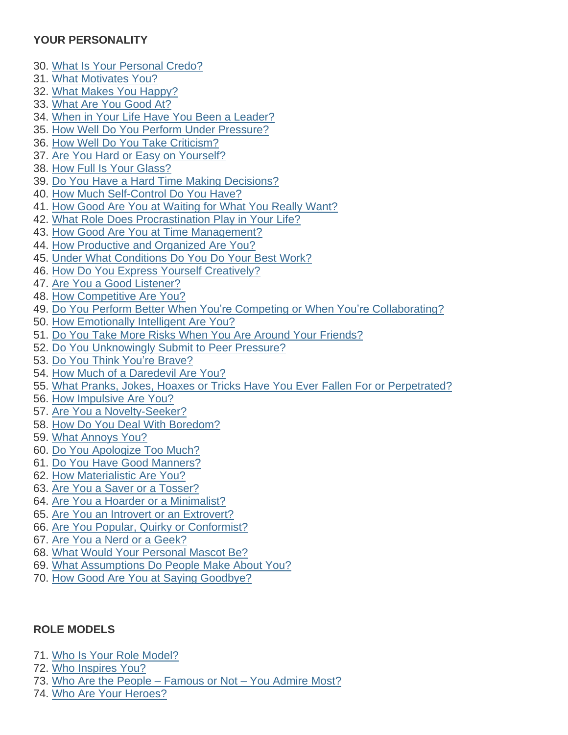## **YOUR PERSONALITY**

- 30. What Is Your [Personal](http://learning.blogs.nytimes.com/2011/10/07/what-is-your-personal-credo/) Credo?
- 31. What [Motivates](http://learning.blogs.nytimes.com/2011/10/17/what-motivates-you/) You?
- 32. What Makes You [Happy?](http://learning.blogs.nytimes.com/2016/04/07/student-question-what-makes-you-happy/)
- 33. What Are You [Good](http://learning.blogs.nytimes.com/2011/11/29/what-are-you-good-at/) At?
- 34. When in Your Life Have You Been a [Leader?](http://learning.blogs.nytimes.com/2011/12/01/when-in-your-life-have-you-been-a-leader/)
- 35. How Well Do You Perform Under [Pressure?](http://learning.blogs.nytimes.com/2014/02/13/how-well-do-you-perform-under-pressure/)
- 36. How Well Do You Take [Criticism?](http://learning.blogs.nytimes.com/2014/05/08/how-well-do-you-take-criticism/)
- 37. Are You Hard or Easy on [Yourself?](http://learning.blogs.nytimes.com/2011/03/02/are-you-hard-or-easy-on-yourself/)
- 38. How Full Is Your [Glass?](http://learning.blogs.nytimes.com/2012/05/23/how-full-is-your-glass/)
- 39. Do You Have a Hard Time Making [Decisions?](http://learning.blogs.nytimes.com/2011/08/18/do-you-have-a-hard-time-making-decisions/)
- 40. How Much [Self-Control](http://learning.blogs.nytimes.com/2014/09/18/how-much-self-control-do-you-have/) Do You Have?
- 41. How Good Are You at [Waiting](http://learning.blogs.nytimes.com/2013/11/18/how-good-are-you-at-waiting-for-what-you-really-want/) for What You Really Want?
- 42. What Role Does [Procrastination](http://learning.blogs.nytimes.com/2014/09/29/what-role-does-procrastination-play-in-your-life/) Play in Your Life?
- 43. How Good Are You at Time [Management?](http://learning.blogs.nytimes.com/2013/10/18/how-good-are-you-at-time-management/)
- 44. How [Productive](http://learning.blogs.nytimes.com/2012/03/21/how-productive-and-organized-are-you/) and Organized Are You?
- 45. Under What [Conditions](http://learning.blogs.nytimes.com/2016/01/19/student-question-under-what-conditions-do-you-do-your-best-work/) Do You Do Your Best Work?
- 46. How Do You Express Yourself [Creatively?](http://learning.blogs.nytimes.com/2015/03/04/how-do-you-express-your-creativity/)
- 47. Are You a Good [Listener?](http://learning.blogs.nytimes.com/2012/11/12/how-would-your-life-be-different-if-you-had-better-listening-skills/)
- 48. How [Competitive](http://learning.blogs.nytimes.com/2012/09/05/how-competitive-are-you/) Are You?
- 49. Do You Perform Better When You're Competing or When You're [Collaborating?](http://learning.blogs.nytimes.com/2012/10/12/do-you-perform-better-when-youre-competing-or-when-youre-collaborating/)
- 50. How [Emotionally](http://learning.blogs.nytimes.com/2015/04/22/how-emotionally-intelligent-are-you/) Intelligent Are You?
- 51. Do You Take More Risks When You Are Around Your [Friends?](http://learning.blogs.nytimes.com/2014/04/28/do-you-take-more-risks-when-you-are-around-your-friends/)
- 52. Do You [Unknowingly](http://learning.blogs.nytimes.com/2011/02/04/do-you-unknowingly-submit-to-peer-pressure/) Submit to Peer Pressure?
- 53. Do You Think You're [Brave?](http://learning.blogs.nytimes.com/2012/01/20/do-you-think-youre-brave/)
- 54. How Much of a [Daredevil](http://learning.blogs.nytimes.com/2014/02/21/how-much-of-a-daredevil-are-you/) Are You?
- 55. What Pranks, Jokes, Hoaxes or Tricks Have You Ever Fallen For or [Perpetrated?](http://learning.blogs.nytimes.com/2014/04/01/what-pranks-jokes-hoaxes-or-tricks-have-you-ever-fallen-for-or-perpetrated-2/)
- 56. How [Impulsive](http://learning.blogs.nytimes.com/2011/09/22/how-impulsive-are-you/) Are You?
- 57. Are You a [Novelty-Seeker?](http://learning.blogs.nytimes.com/2012/02/15/are-you-a-novelty-seeker/)
- 58. How Do You Deal With [Boredom?](http://learning.blogs.nytimes.com/2015/04/20/how-do-you-deal-with-boredom/)
- 59. What [Annoys](http://learning.blogs.nytimes.com/2011/04/27/what-annoys-you/) You?
- 60. Do You [Apologize](http://learning.blogs.nytimes.com/2014/01/21/do-you-or-people-you-know-apologize-all-the-time/) Too Much?
- 61. Do You Have Good [Manners?](http://learning.blogs.nytimes.com/2011/11/02/do-you-have-good-manners/)
- 62. How [Materialistic](http://learning.blogs.nytimes.com/2016/02/05/student-question-how-materialistic-are-you/) Are You?
- 63. Are You a Saver or a [Tosser?](http://learning.blogs.nytimes.com/2011/01/28/are-you-a-saver-or-a-tosser/)
- 64. Are You a Hoarder or a [Minimalist?](http://learning.blogs.nytimes.com/2015/09/02/are-you-a-hoarder-or-a-minimalist-or-somewhere-in-the-middle/)
- 65. Are You an Introvert or an [Extrovert?](http://learning.blogs.nytimes.com/2016/05/24/student-question-are-you-an-introvert-or-an-extrovert/)
- 66. Are You Popular, Quirky or [Conformist?](http://learning.blogs.nytimes.com/2011/05/27/are-you-popular-quirky-or-conformist/)
- 67. Are You a Nerd or a [Geek?](http://learning.blogs.nytimes.com/2014/09/23/are-you-a-nerd-or-a-geek/)
- 68. What Would Your [Personal](http://learning.blogs.nytimes.com/2012/01/06/what-would-your-personal-mascot-be/) Mascot Be?
- 69. What [Assumptions](http://learning.blogs.nytimes.com/2010/05/13/what-assumptions-do-people-make-about-you/) Do People Make About You?
- 70. How Good Are You at Saying [Goodbye?](http://learning.blogs.nytimes.com/2015/05/21/how-good-are-you-at-saying-goodbye/)

## **ROLE MODELS**

- 71. Who Is Your Role [Model?](http://learning.blogs.nytimes.com/2011/10/31/who-is-your-role-model/)
- 72. Who [Inspires](http://learning.blogs.nytimes.com/2012/02/14/who-inspires-you/) You?
- 73. Who Are the People [Famous](http://learning.blogs.nytimes.com/2015/11/30/who-are-the-people-famous-or-not-you-admire-most/) or Not You Admire Most?
- 74. Who Are Your [Heroes?](http://learning.blogs.nytimes.com/2013/12/10/who-are-your-heroes/)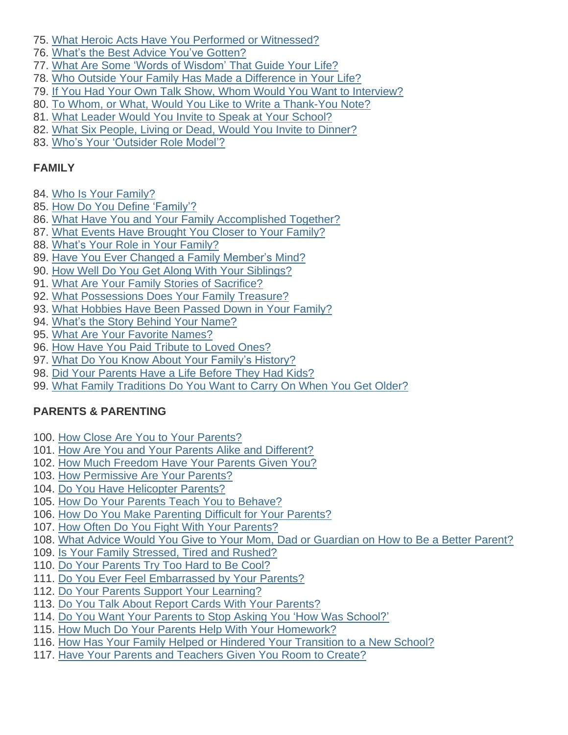- 75. What Heroic Acts Have You Performed or [Witnessed?](http://learning.blogs.nytimes.com/2015/09/04/what-heroic-acts-have-you-performed-or-witnessed/)
- 76. What's the Best Advice You've [Gotten?](http://learning.blogs.nytimes.com/2011/06/21/whats-the-best-advice-youve-gotten/)
- 77. What Are Some 'Words of [Wisdom'](http://learning.blogs.nytimes.com/2015/06/01/what-are-some-words-of-wisdom-that-guide-your-life/) That Guide Your Life?
- 78. Who Outside Your Family Has Made a [Difference](http://learning.blogs.nytimes.com/2014/10/16/who-outside-your-family-has-made-a-difference-in-your-life/) in Your Life?
- 79. If You Had Your Own Talk Show, Whom Would You Want to [Interview?](http://learning.blogs.nytimes.com/2014/05/09/if-you-had-your-own-talk-show-whom-would-you-want-to-interview/)
- 80. To Whom, or What, Would You Like to Write a [Thank-You](http://learning.blogs.nytimes.com/2014/04/09/to-whom-or-what-would-you-like-to-write-a-thank-you-note/) Note?
- 81. What Leader Would You Invite to Speak at Your [School?](http://learning.blogs.nytimes.com/2012/04/25/what-leader-would-you-invite-to-speak-at-your-school/)
- 82. What Six People, Living or Dead, Would You Invite to [Dinner?](http://learning.blogs.nytimes.com/2013/04/22/what-six-people-living-or-dead-would-you-invite-to-dinner/)
- 83. Who's Your ['Outsider](http://www.nytimes.com/2016/10/12/learning/whos-your-outsider-role-model.html) Role Model'?

## **FAMILY**

- 84. Who Is Your [Family?](http://learning.blogs.nytimes.com/2013/11/27/who-is-your-family/)
- 85. How Do You Define ['Family'?](http://learning.blogs.nytimes.com/2011/02/24/how-do-you-define-family/)
- 86. What Have You and Your Family [Accomplished](http://learning.blogs.nytimes.com/2012/04/26/what-have-you-and-your-family-accomplished-together/) Together?
- 87. What Events Have [Brought](http://learning.blogs.nytimes.com/2014/10/30/what-events-have-brought-you-closer-to-your-family/) You Closer to Your Family?
- 88. What's Your Role in Your [Family?](http://learning.blogs.nytimes.com/2011/06/10/whats-your-role-in-your-family/)
- 89. Have You Ever Changed a Family [Member's](http://learning.blogs.nytimes.com/2012/10/22/have-you-ever-changed-a-family-members-mind/) Mind?
- 90. How Well Do You Get Along With Your [Siblings?](http://learning.blogs.nytimes.com/2012/11/26/how-well-do-you-get-along-with-your-siblings/)
- 91. What Are Your Family Stories of [Sacrifice?](http://learning.blogs.nytimes.com/2012/02/27/what-are-your-family-stories-of-sacrifice/)
- 92. What [Possessions](http://learning.blogs.nytimes.com/2011/04/06/what-possessions-does-your-family-treasure/) Does Your Family Treasure?
- 93. What [Hobbies](http://learning.blogs.nytimes.com/2014/01/02/what-hobbies-and-other-activities-have-been-passed-down-in-your-family/) Have Been Passed Down in Your Family?
- 94. What's the Story Behind Your [Name?](http://learning.blogs.nytimes.com/2015/10/07/whats-the-story-behind-your-name-2/)
- 95. What Are Your Favorite [Names?](http://learning.blogs.nytimes.com/2013/06/03/what-are-your-favorite-names/)
- 96. How Have You Paid [Tribute](http://learning.blogs.nytimes.com/2011/08/15/how-have-you-paid-tribute-to-loved-ones/) to Loved Ones?
- 97. What Do You Know About Your Family's [History?](http://learning.blogs.nytimes.com/2016/04/01/student-question-what-do-you-know-about-your-familys-history/)
- 98. Did Your [Parents](http://learning.blogs.nytimes.com/2011/08/31/did-your-parents-have-a-life-before-they-had-kids/) Have a Life Before They Had Kids?
- 99. What Family [Traditions](http://learning.blogs.nytimes.com/2015/03/31/what-family-traditions-do-you-want-to-carry-on-when-you-get-older/) Do You Want to Carry On When You Get Older?

# **PARENTS & PARENTING**

- 100. How Close Are You to Your [Parents?](http://learning.blogs.nytimes.com/2012/06/01/how-close-are-you-to-your-parents/)
- 101. How Are You and Your Parents Alike and [Different?](http://learning.blogs.nytimes.com/2013/11/25/how-are-you-and-your-parents-alike-and-different/)
- 102. How Much [Freedom](http://learning.blogs.nytimes.com/2015/01/29/how-much-freedom-have-your-parents-given-you/) Have Your Parents Given You?
- 103. How [Permissive](http://learning.blogs.nytimes.com/2011/01/14/how-permissive-are-your-parents/) Are Your Parents?
- 104. Do You Have [Helicopter](http://learning.blogs.nytimes.com/2013/05/14/do-you-have-helicopter-parents/) Parents?
- 105. How Do Your Parents Teach You to [Behave?](http://learning.blogs.nytimes.com/2010/10/12/how-do-your-parents-teach-you-to-behave/)
- 106. How Do You Make [Parenting](http://learning.blogs.nytimes.com/2012/11/30/how-do-you-make-parenting-difficult-for-your-parents/) Difficult for Your Parents?
- 107. How Often Do You Fight With Your [Parents?](http://learning.blogs.nytimes.com/2016/03/17/student-question-how-often-do-you-fight-with-your-parents/)
- 108. What Advice Would You Give to Your Mom, Dad or [Guardian](http://learning.blogs.nytimes.com/2016/01/07/what-advice-would-you-give-to-your-mom-dad-or-guardian-on-how-to-be-a-better-parent/) on How to Be a Better Parent?
- 109. Is Your Family [Stressed,](http://learning.blogs.nytimes.com/2015/11/06/is-your-family-stressed-tired-and-rushed/) Tired and Rushed?
- 110. Do Your [Parents](http://learning.blogs.nytimes.com/2016/06/09/student-question-do-your-parents-try-too-hard-to-be-cool/) Try Too Hard to Be Cool?
- 111. Do You Ever Feel [Embarrassed](http://learning.blogs.nytimes.com/2015/05/11/do-you-ever-feel-embarrassed-by-your-parents/) by Your Parents?
- 112. Do Your Parents Support Your [Learning?](http://learning.blogs.nytimes.com/2011/11/22/do-your-parents-support-your-learning/)
- 113. Do You Talk About Report Cards With Your [Parents?](http://learning.blogs.nytimes.com/2011/06/07/do-you-talk-about-report-cards-with-your-parents/)
- 114. Do You Want Your Parents to Stop Asking You 'How Was [School?'](http://learning.blogs.nytimes.com/2016/09/16/do-you-want-your-parents-to-stop-asking-you-how-was-school/)
- 115. How Much Do Your Parents Help With Your [Homework?](http://learning.blogs.nytimes.com/2014/11/14/how-much-do-your-parents-help-with-your-homework/)
- 116. How Has Your Family Helped or Hindered Your [Transition](http://learning.blogs.nytimes.com/2015/08/24/how-did-your-family-help-or-hinder-your-transition-to-a-new-school-or-to-college/) to a New School?
- 117. Have Your Parents and [Teachers](http://learning.blogs.nytimes.com/2016/02/04/student-question-have-your-parents-and-teachers-given-you-room-to-create/) Given You Room to Create?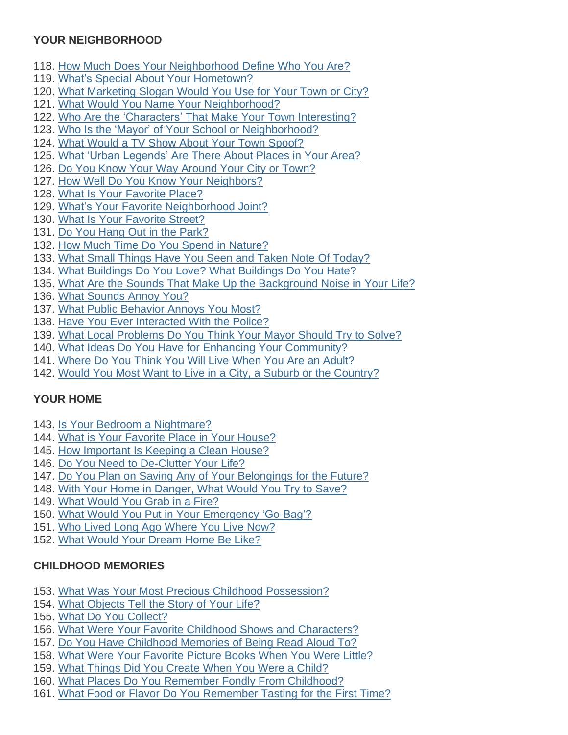# **YOUR NEIGHBORHOOD**

- 118. How Much Does Your [Neighborhood](http://learning.blogs.nytimes.com/2013/10/22/how-much-does-your-neighborhood-define-who-you-are/) Define Who You Are?
- 119. What's Special About Your [Hometown?](http://learning.blogs.nytimes.com/2010/09/17/whats-special-about-your-hometown/)
- 120. What [Marketing](http://learning.blogs.nytimes.com/2016/04/08/student-question-what-marketing-slogan-would-you-use-for-your-town-or-city/) Slogan Would You Use for Your Town or City?
- 121. What Would You Name Your [Neighborhood?](http://learning.blogs.nytimes.com/2012/03/01/what-would-you-name-your-neighborhood/)
- 122. Who Are the ['Characters'](http://learning.blogs.nytimes.com/2012/11/09/who-are-the-characters-that-make-your-town-interesting/) That Make Your Town Interesting?
- 123. Who Is the 'Mayor' of Your School or [Neighborhood?](http://learning.blogs.nytimes.com/2013/11/20/who-is-the-mayor-of-your-school-or-neighborhood/)
- 124. What Would a TV Show About Your Town [Spoof?](http://learning.blogs.nytimes.com/2011/01/27/what-would-a-tv-show-about-your-town-spoof/)
- 125. What 'Urban [Legends'](http://learning.blogs.nytimes.com/2011/02/16/what-urban-legends-are-there-about-places-in-your-area/) Are There About Places in Your Area?
- 126. Do You Know Your Way [Around](http://learning.blogs.nytimes.com/2011/06/29/do-you-know-your-way-around-your-city-or-town/) Your City or Town?
- 127. How Well Do You Know Your [Neighbors?](http://learning.blogs.nytimes.com/2015/11/04/how-well-do-you-know-your-neighbors/)
- 128. What Is Your [Favorite](http://learning.blogs.nytimes.com/2012/01/09/what-is-your-favorite-place/) Place?
- 129. What's Your Favorite [Neighborhood](http://learning.blogs.nytimes.com/2015/05/29/whats-your-favorite-neighborhood-joint/) Joint?
- 130. What Is Your [Favorite](http://learning.blogs.nytimes.com/2015/04/21/what-is-your-favorite-street/) Street?
- 131. Do You Hang Out in the [Park?](http://learning.blogs.nytimes.com/2016/05/27/student-question-do-you-hang-out-in-the-park/)
- 132. How Much Time Do You Spend in [Nature?](http://learning.blogs.nytimes.com/2011/09/12/how-much-time-do-you-spend-in-nature/)
- 133. What Small Things Have You Seen and Taken Note Of [Today?](http://learning.blogs.nytimes.com/2012/03/28/what-have-you-seen-today/)
- 134. What [Buildings](http://learning.blogs.nytimes.com/2015/06/10/what-buildings-do-you-love-what-buildings-do-you-hate/) Do You Love? What Buildings Do You Hate?
- 135. What Are the Sounds That Make Up the [Background](http://learning.blogs.nytimes.com/2016/01/05/what-are-the-sounds-that-make-up-the-background-noise-in-your-life/) Noise in Your Life?
- 136. What [Sounds](http://learning.blogs.nytimes.com/2015/03/03/what-sounds-annoy-you/) Annoy You?
- 137. What Public [Behavior](http://learning.blogs.nytimes.com/2015/01/08/what-public-behavior-annoys-you-most/) Annoys You Most?
- 138. Have You Ever [Interacted](http://learning.blogs.nytimes.com/2011/12/20/have-you-ever-interacted-with-the-police/) With the Police?
- 139. What Local [Problems](http://learning.blogs.nytimes.com/2013/09/11/what-local-problems-do-you-think-your-mayor-should-try-to-solve/) Do You Think Your Mayor Should Try to Solve?
- 140. What Ideas Do You Have for Enhancing Your [Community?](http://learning.blogs.nytimes.com/2015/09/08/what-idea-do-you-have-for-enhancing-your-community/)
- 141. [Where](http://learning.blogs.nytimes.com/2016/04/04/student-question-where-do-you-think-you-will-live-when-you-are-an-adult/) Do You Think You Will Live When You Are an Adult?
- 142. Would You Most Want to Live in a City, a Suburb or the [Country?](http://learning.blogs.nytimes.com/2013/09/25/would-you-most-want-to-live-in-a-city-a-suburb-or-the-country/)

## **YOUR HOME**

- 143. Is Your Bedroom a [Nightmare?](http://learning.blogs.nytimes.com/2012/11/08/is-your-bedroom-a-nightmare/)
- 144. What is Your [Favorite](http://learning.blogs.nytimes.com/2010/10/18/what-is-your-favorite-place-in-your-house/) Place in Your House?
- 145. How [Important](http://learning.blogs.nytimes.com/2013/12/09/how-important-is-keeping-a-clean-house/) Is Keeping a Clean House?
- 146. Do You Need to [De-Clutter](http://learning.blogs.nytimes.com/2015/02/26/do-you-need-to-de-clutter-your-life/) Your Life?
- 147. Do You Plan on Saving Any of Your [Belongings](http://learning.blogs.nytimes.com/2013/05/24/do-you-plan-on-saving-any-of-your-belongings-for-the-future/) for the Future?
- 148. With Your Home in [Danger,](http://learning.blogs.nytimes.com/2012/11/14/with-your-home-in-danger-what-would-you-try-to-save/) What Would You Try to Save?
- 149. What [Would](http://learning.blogs.nytimes.com/2015/01/20/what-would-you-grab-in-a-fire/) You Grab in a Fire?
- 150. What Would You Put in Your [Emergency](http://learning.blogs.nytimes.com/2011/12/02/what-would-you-put-in-your-emergency-go-bag/) 'Go-Bag'?
- 151. Who Lived Long Ago [Where](http://learning.blogs.nytimes.com/2015/04/16/who-lived-long-ago-where-you-live-now/) You Live Now?
- 152. What Would Your [Dream](http://learning.blogs.nytimes.com/2013/05/17/what-would-your-dream-home-be-like/) Home Be Like?

## **CHILDHOOD MEMORIES**

- 153. What Was Your Most Precious Childhood [Possession?](http://learning.blogs.nytimes.com/2013/03/14/what-was-your-most-precious-childhood-possession/)
- 154. What [Objects](http://learning.blogs.nytimes.com/2014/09/30/what-objects-tell-the-story-of-your-life/) Tell the Story of Your Life?
- 155. What Do You [Collect?](http://learning.blogs.nytimes.com/2016/05/17/student-question-what-do-you-collect/)
- 156. What Were Your Favorite Childhood Shows and [Characters?](http://learning.blogs.nytimes.com/2009/11/06/what-were-your-favorite-childhood-shows-and-characters/)
- 157. Do You Have [Childhood](http://learning.blogs.nytimes.com/2015/01/09/do-you-have-childhood-memories-of-being-read-aloud-to/) Memories of Being Read Aloud To?
- 158. What Were Your [Favorite](http://learning.blogs.nytimes.com/2013/04/26/what-were-your-favorite-picture-books-when-you-were-little/) Picture Books When You Were Little?
- 159. What Things Did You [Create](http://learning.blogs.nytimes.com/2012/04/20/what-things-did-you-create-when-you-were-a-child/) When You Were a Child?
- 160. What Places Do You Remember Fondly From [Childhood?](http://learning.blogs.nytimes.com/2011/03/25/what-places-do-you-remember-fondly-from-childhood/)
- 161. What Food or Flavor Do You [Remember](http://learning.blogs.nytimes.com/2015/09/28/what-food-or-flavor-do-you-remember-tasting-for-the-first-time/) Tasting for the First Time?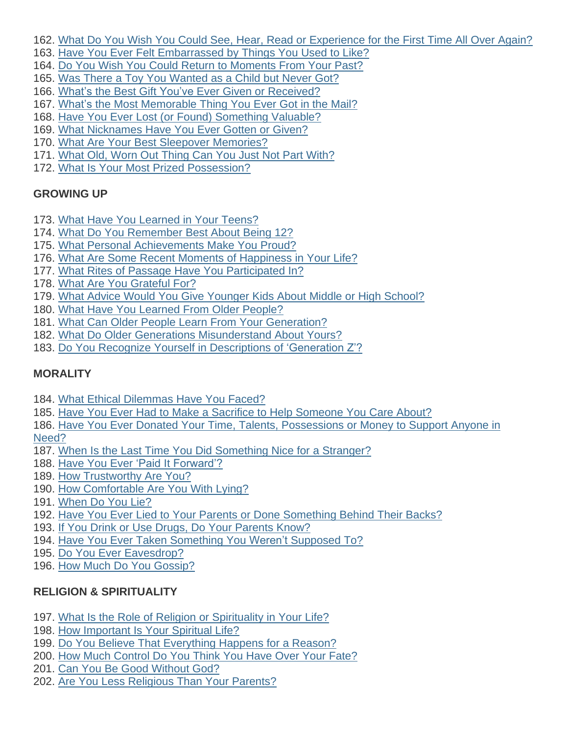- 162. What Do You Wish You Could See, Hear, Read or [Experience](http://learning.blogs.nytimes.com/2015/09/11/what-do-you-wish-you-could-see-hear-read-or-experience-for-the-first-time-all-over-again/) for the First Time All Over Again?
- 163. Have You Ever Felt [Embarrassed](http://learning.blogs.nytimes.com/2013/04/29/have-you-ever-felt-embarrassed-by-things-you-used-to-like/) by Things You Used to Like?
- 164. Do You Wish You Could Return to [Moments](http://learning.blogs.nytimes.com/2013/05/20/do-you-wish-you-could-return-to-moments-from-your-past/) From Your Past?
- 165. Was There a Toy You [Wanted](http://learning.blogs.nytimes.com/2013/01/25/have-you-ever-wanted-a-toy-really-badly-but-werent-allowed-to-get-it/) as a Child but Never Got?
- 166. What's the Best Gift You've Ever Given or [Received?](http://learning.blogs.nytimes.com/2009/12/10/whats-the-best-gift-youve-ever-given-or-received/)
- 167. What's the Most [Memorable](http://learning.blogs.nytimes.com/2013/02/07/whats-the-most-memorable-thing-you-ever-got-in-the-mail/) Thing You Ever Got in the Mail?
- 168. Have You Ever Lost (or Found) [Something](http://learning.blogs.nytimes.com/2011/02/23/have-you-ever-lost-or-found-something-valuable/) Valuable?
- 169. What [Nicknames](http://learning.blogs.nytimes.com/2011/05/12/what-nicknames-have-you-ever-gotten-or-given/) Have You Ever Gotten or Given?
- 170. What Are Your Best Sleepover [Memories?](http://learning.blogs.nytimes.com/2011/02/10/what-are-your-best-sleepover-memories/)
- 171. What Old, Worn Out Thing Can You Just Not Part [With?](http://learning.blogs.nytimes.com/2016/03/21/student-question-what-old-worn-out-thing-can-you-just-not-part-with/)
- 172. What Is Your Most Prized [Possession?](http://learning.blogs.nytimes.com/2015/12/23/what-is-your-most-prized-possession/)

# **GROWING UP**

- 173. What Have You [Learned](http://learning.blogs.nytimes.com/2014/03/04/what-advice-do-you-have-for-people-several-years-younger-than-you/) in Your Teens?
- 174. What Do You [Remember](http://learning.blogs.nytimes.com/2015/03/10/what-do-you-remember-best-about-being-12/) Best About Being 12?
- 175. What Personal [Achievements](http://learning.blogs.nytimes.com/2011/04/19/what-personal-achievements-make-you-proud/) Make You Proud?
- 176. What Are Some Recent Moments of [Happiness](http://learning.blogs.nytimes.com/2011/03/15/what-are-some-recent-moments-of-happiness-in-your-life/) in Your Life?
- 177. What Rites of Passage Have You [Participated](http://learning.blogs.nytimes.com/2013/09/05/what-rites-of-passage-have-you-participated-in/) In?
- 178. What Are You [Grateful](http://learning.blogs.nytimes.com/2015/11/25/what-are-you-grateful-for-2/) For?
- 179. What Advice Would You Give [Younger](http://learning.blogs.nytimes.com/2010/09/27/what-advice-would-you-give-younger-kids-about-middle-or-high-school/) Kids About Middle or High School?
- 180. What Have You [Learned](http://learning.blogs.nytimes.com/2016/04/25/student-question-what-have-you-learned-or-how-have-you-been-inspired-by-older-people/) From Older People?
- 181. What Can Older People Learn From Your [Generation?](http://learning.blogs.nytimes.com/2013/11/07/what-can-older-people-learn-from-your-generation/)
- 182. What Do Older Generations [Misunderstand](http://learning.blogs.nytimes.com/2010/05/21/what-do-older-generations-misunderstand-about-yours/) About Yours?
- 183. Do You Recognize Yourself in [Descriptions](http://learning.blogs.nytimes.com/2015/09/23/do-you-recognize-yourself-in-descriptions-of-generation-z/) of 'Generation Z'?

# **MORALITY**

- 184. What Ethical [Dilemmas](http://learning.blogs.nytimes.com/2011/04/12/what-ethical-dilemmas-have-you-faced/) Have You Faced?
- 185. Have You Ever Had to Make a Sacrifice to Help [Someone](http://www.nytimes.com/2016/10/18/learning/have-you-ever-had-to-make-a-sacrifice-to-help-someone-you-care-about.html) You Care About?
- 186. Have You Ever Donated Your Time, Talents, [Possessions](http://learning.blogs.nytimes.com/2014/12/16/have-you-ever-donated-your-time-talents-possessions-or-money-to-support-anyone-in-need/) or Money to Support Anyone in [Need?](http://learning.blogs.nytimes.com/2014/12/16/have-you-ever-donated-your-time-talents-possessions-or-money-to-support-anyone-in-need/)
- 187. When Is the Last Time You Did [Something](http://learning.blogs.nytimes.com/2013/10/21/when-is-the-last-time-you-did-something-nice-for-a-stranger/) Nice for a Stranger?
- 188. Have You Ever 'Paid It [Forward'?](http://learning.blogs.nytimes.com/2014/03/19/have-you-ever-paid-it-forward/)
- 189. How [Trustworthy](http://learning.blogs.nytimes.com/2016/02/12/student-question-how-trustworthy-are-you/) Are You?
- 190. How [Comfortable](http://learning.blogs.nytimes.com/2014/03/26/how-comfortable-are-you-with-lying/) Are You With Lying?
- 191. [When](http://learning.blogs.nytimes.com/2015/02/11/when-do-you-lie/) Do You Lie?
- 192. Have You Ever Lied to Your Parents or Done [Something](http://learning.blogs.nytimes.com/2015/05/01/have-you-ever-lied-to-your-parents-or-done-something-behind-their-back/) Behind Their Backs?
- 193. If You Drink or Use Drugs, Do Your [Parents](http://learning.blogs.nytimes.com/2011/09/15/if-you-drink-or-use-drugs-do-your-parents-know/) Know?
- 194. Have You Ever Taken [Something](http://learning.blogs.nytimes.com/2013/03/08/have-you-ever-taken-something-you-werent-supposed-to/) You Weren't Supposed To?
- 195. Do You Ever [Eavesdrop?](http://learning.blogs.nytimes.com/2014/03/03/do-you-ever-eavesdrop/)
- 196. How Much Do You [Gossip?](http://learning.blogs.nytimes.com/2011/09/21/how-much-do-you-gossip/)

# **RELIGION & SPIRITUALITY**

- 197. What Is the Role of Religion or [Spirituality](http://learning.blogs.nytimes.com/2015/05/14/what-is-the-role-of-religion-or-spirituality-in-your-life/) in Your Life?
- 198. How [Important](http://learning.blogs.nytimes.com/2010/02/22/how-important-is-your-spiritual-life/) Is Your Spiritual Life?
- 199. Do You Believe That [Everything](http://learning.blogs.nytimes.com/2014/10/22/do-you-believe-that-everything-happens-for-a-reason/) Happens for a Reason?
- 200. How Much [Control](http://learning.blogs.nytimes.com/2014/02/25/how-much-control-do-you-think-you-have-over-your-fate/) Do You Think You Have Over Your Fate?
- 201. Can You Be Good [Without](http://learning.blogs.nytimes.com/2011/12/21/can-you-be-good-without-god/) God?
- 202. Are You Less [Religious](http://learning.blogs.nytimes.com/2012/10/11/are-you-less-religious-than-your-parents/) Than Your Parents?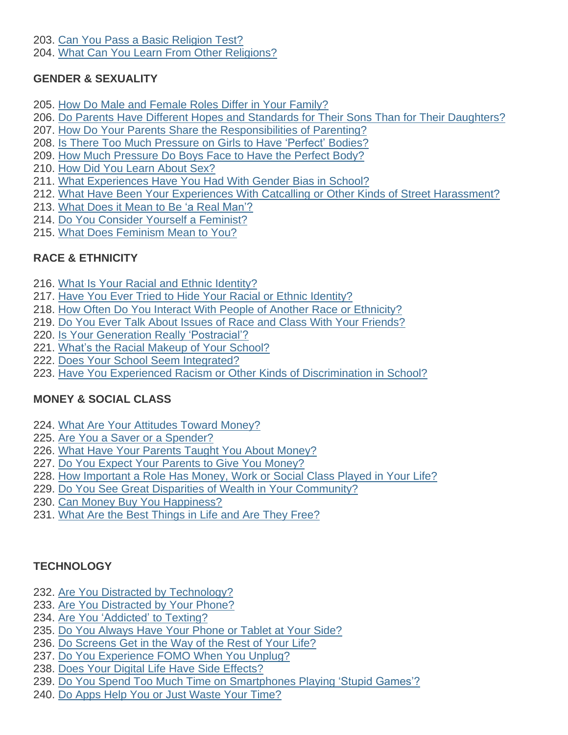203. Can You Pass a Basic [Religion](http://learning.blogs.nytimes.com/2010/09/30/can-you-pass-a-basic-religion-test/) Test?

204. What Can You Learn From Other [Religions?](http://learning.blogs.nytimes.com/2010/05/26/what-can-you-learn-from-other-religions/)

# **GENDER & SEXUALITY**

- 205. How Do Male and Female Roles Differ in Your [Family?](http://learning.blogs.nytimes.com/2012/02/09/how-do-male-and-female-roles-differ-in-your-family/)
- 206. Do Parents Have Different Hopes and Standards for Their Sons Than for Their [Daughters?](http://learning.blogs.nytimes.com/2014/01/22/do-parents-have-different-hopes-and-standards-for-their-sons-and-daughters/)
- 207. How Do Your Parents Share the [Responsibilities](http://learning.blogs.nytimes.com/2015/05/28/how-do-your-parents-share-the-responsibilities-of-parenting/) of Parenting?
- 208. Is There Too Much [Pressure](http://learning.blogs.nytimes.com/2013/10/03/is-there-too-much-pressure-on-girls-to-have-perfect-bodies/) on Girls to Have 'Perfect' Bodies?
- 209. How Much [Pressure](http://learning.blogs.nytimes.com/2012/11/20/how-much-pressure-do-boys-face-to-have-the-perfect-body/) Do Boys Face to Have the Perfect Body?
- 210. How Did You Learn [About](http://learning.blogs.nytimes.com/2011/08/11/how-did-you-learn-about-sex/) Sex?
- 211. What [Experiences](http://learning.blogs.nytimes.com/2012/09/27/what-experiences-have-you-had-with-gender-bias-in-school/) Have You Had With Gender Bias in School?
- 212. What Have Been Your Experiences With Catcalling or Other Kinds of Street [Harassment?](http://learning.blogs.nytimes.com/2014/11/12/what-have-been-your-experiences-with-catcalling-or-other-kinds-of-street-harassment/)
- 213. What Does it Mean to Be 'a Real [Man'?](http://learning.blogs.nytimes.com/2015/09/10/what-does-it-mean-to-be-a-real-man/)
- 214. Do You Consider Yourself a [Feminist?](http://learning.blogs.nytimes.com/2014/05/29/do-you-consider-yourself-a-feminist/)
- 215. What Does [Feminism](http://learning.blogs.nytimes.com/2016/05/11/student-question-what-does-feminism-mean-to-you/) Mean to You?

# **RACE & ETHNICITY**

- 216. What Is Your Racial and Ethnic [Identity?](http://learning.blogs.nytimes.com/2011/02/01/what-is-your-racial-and-ethnic-identity/)
- 217. Have You Ever Tried to Hide Your Racial or Ethnic [Identity?](http://learning.blogs.nytimes.com/2009/12/09/have-you-ever-tried-to-hide-your-racial-or-ethnic-identity/)
- 218. How Often Do You Interact With People of Another Race or [Ethnicity?](http://learning.blogs.nytimes.com/2012/05/18/america-is-more-diverse-than-ever-but-is-your-life-integrated/)
- 219. Do You Ever Talk About Issues of Race and Class With Your [Friends?](http://learning.blogs.nytimes.com/2015/02/24/do-you-ever-talk-about-issues-of-race-and-class-with-your-friends/)
- 220. Is Your Generation Really ['Postracial'?](http://learning.blogs.nytimes.com/2014/02/26/is-your-generation-really-postracial/)
- 221. What's the Racial Makeup of Your [School?](http://learning.blogs.nytimes.com/2012/02/28/whats-the-racial-makeup-of-your-school/)
- 222. Does Your School Seem [Integrated?](http://learning.blogs.nytimes.com/2014/05/20/does-your-school-seem-integrated/)
- 223. Have You Experienced Racism or Other Kinds of [Discrimination](http://learning.blogs.nytimes.com/2016/02/03/student-question-have-you-experienced-racism-or-other-kinds-of-discrimination-in-school/) in School?

# **MONEY & SOCIAL CLASS**

- 224. What Are Your [Attitudes](http://learning.blogs.nytimes.com/2010/05/17/what-are-your-attitudes-toward-money/) Toward Money?
- 225. Are You a Saver or a [Spender?](http://learning.blogs.nytimes.com/2015/01/30/are-you-a-saver-or-a-spender/)
- 226. What Have Your Parents Taught You About [Money?](http://learning.blogs.nytimes.com/2013/01/16/what-have-your-parents-taught-you-about-money/)
- 227. Do You Expect Your Parents to Give You [Money?](http://learning.blogs.nytimes.com/2011/04/01/do-you-expect-your-parents-to-give-you-money/)
- 228. How [Important](http://learning.blogs.nytimes.com/2015/05/22/how-important-a-role-have-money-work-or-social-class-played-in-your-life/) a Role Has Money, Work or Social Class Played in Your Life?
- 229. Do You See Great Disparities of Wealth in Your [Community?](http://learning.blogs.nytimes.com/2016/04/27/student-question-do-you-see-great-disparities-of-wealth-in-your-community/)
- 230. Can Money Buy You [Happiness?](http://learning.blogs.nytimes.com/2010/10/07/can-money-buy-you-happiness/)
- 231. What Are the Best [Things](http://learning.blogs.nytimes.com/2015/12/14/what-are-the-best-things-in-life-and-are-they-free/) in Life and Are They Free?

## **TECHNOLOGY**

- 232. Are You Distracted by [Technology?](http://learning.blogs.nytimes.com/2012/11/02/are-you-distracted-by-technology/)
- 233. Are You [Distracted](http://learning.blogs.nytimes.com/2015/09/29/are-you-distracted-by-your-phone/) by Your Phone?
- 234. Are You ['Addicted'](http://learning.blogs.nytimes.com/2015/10/20/are-you-addicted-to-texting/) to Texting?
- 235. Do You [Always](http://learning.blogs.nytimes.com/2013/09/23/do-you-always-have-your-phone-or-tablet-at-your-side/) Have Your Phone or Tablet at Your Side?
- 236. Do [Screens](http://learning.blogs.nytimes.com/2015/12/11/does-technology-get-in-the-way-of-the-rest-of-your-life/) Get in the Way of the Rest of Your Life?
- 237. Do You [Experience](http://learning.blogs.nytimes.com/2015/04/02/do-you-experience-fomo-when-you-unplug/) FOMO When You Unplug?
- 238. Does Your Digital Life Have Side [Effects?](http://learning.blogs.nytimes.com/2011/04/13/does-your-digital-life-have-side-effects/)
- 239. Do You Spend Too Much Time on [Smartphones](http://learning.blogs.nytimes.com/2012/04/05/do-you-spend-too-much-time-on-smart-phones-playing-stupid-games/) Playing 'Stupid Games'?
- 240. Do Apps Help You or Just [Waste](http://learning.blogs.nytimes.com/2011/09/30/do-apps-help-you-or-just-waste-your-time/) Your Time?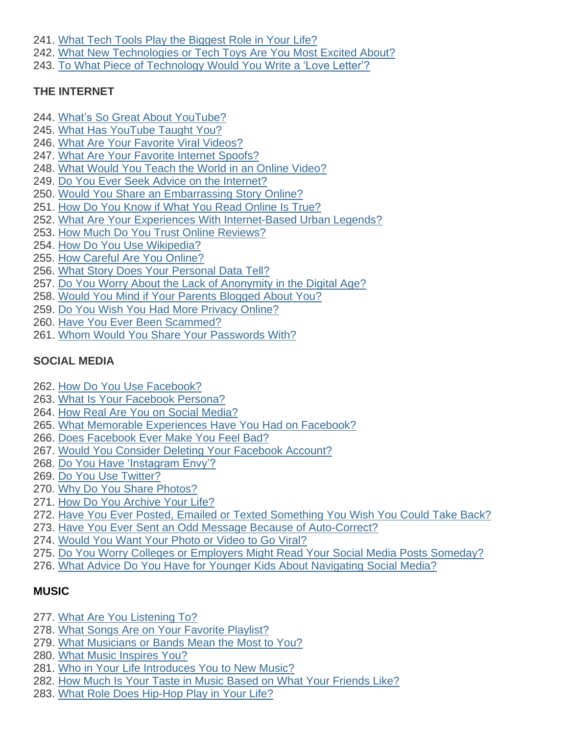- 241. What Tech Tools Play the [Biggest](http://learning.blogs.nytimes.com/2013/01/30/student-challenge-what-tech-tools-play-the-biggest-role-in-your-life/) Role in Your Life?
- 242. What New [Technologies](http://learning.blogs.nytimes.com/2014/09/10/what-new-technologies-or-tech-toys-are-you-most-excited-about/) or Tech Toys Are You Most Excited About?
- 243. To What Piece of [Technology](http://learning.blogs.nytimes.com/2010/11/10/to-what-piece-of-technology-would-you-write-a-love-letter/) Would You Write a 'Love Letter'?

## **THE INTERNET**

- 244. What's So Great About [YouTube?](http://learning.blogs.nytimes.com/2015/10/27/whats-so-great-about-youtube/)
- 245. What Has [YouTube](http://learning.blogs.nytimes.com/2015/06/04/what-has-youtube-taught-you/) Taught You?
- 246. What Are Your Favorite Viral [Videos?](http://learning.blogs.nytimes.com/2016/05/25/student-question-what-are-your-favorite-viral-videos/)
- 247. What Are Your Favorite Internet [Spoofs?](http://learning.blogs.nytimes.com/2013/09/12/what-are-your-favorite-internet-spoofs/)
- 248. What Would You Teach the World in an Online [Video?](http://learning.blogs.nytimes.com/2013/04/24/what-would-you-want-to-teach-the-world-in-your-own-online-video/)
- 249. Do You Ever Seek Advice on the [Internet?](http://learning.blogs.nytimes.com/2013/04/10/do-you-ever-seek-advice-on-the-internet/)
- 250. Would You Share an [Embarrassing](http://learning.blogs.nytimes.com/2015/11/18/would-you-share-an-embarrassing-story-online/) Story Online?
- 251. How Do You Know if What You Read [Online](http://learning.blogs.nytimes.com/2013/12/11/how-do-you-know-if-what-you-read-online-is-true/) Is True?
- 252. What Are Your Experiences With [Internet-Based](http://learning.blogs.nytimes.com/2014/06/09/what-are-your-experiences-with-internet-based-urban-legends/) Urban Legends?
- 253. How Much Do You Trust Online [Reviews?](http://learning.blogs.nytimes.com/2013/09/24/how-much-do-you-trust-online-reviews/)
- 254. How Do You Use [Wikipedia?](http://learning.blogs.nytimes.com/2010/11/09/how-do-you-use-wikipedia/)
- 255. How Careful Are You [Online?](http://learning.blogs.nytimes.com/2012/11/15/how-careful-are-you-online/)
- 256. What Story Does Your [Personal](http://learning.blogs.nytimes.com/2012/02/07/what-story-does-your-personal-data-tell/) Data Tell?
- 257. Do You Worry About the Lack of [Anonymity](http://learning.blogs.nytimes.com/2011/06/22/do-you-worry-about-the-lack-of-anonymity-in-the-digital-age/) in the Digital Age?
- 258. Would You Mind if Your Parents [Blogged](http://learning.blogs.nytimes.com/2011/02/25/would-you-mind-if-your-parents-blogged-about-you/) About You?
- 259. Do You Wish You Had More Privacy [Online?](http://learning.blogs.nytimes.com/2014/10/06/do-you-wish-you-had-more-privacy-online/)
- 260. Have You Ever Been [Scammed?](http://learning.blogs.nytimes.com/2012/11/16/have-you-ever-been-scammed/)
- 261. Whom Would You Share Your [Passwords](http://learning.blogs.nytimes.com/2012/01/19/who-would-you-share-your-passwords-with/) With?

# **SOCIAL MEDIA**

- 262. How Do You Use [Facebook?](http://learning.blogs.nytimes.com/2011/10/21/how-do-you-use-facebook/)
- 263. What Is Your [Facebook](http://learning.blogs.nytimes.com/2011/05/10/what-is-your-facebook-persona/) Persona?
- 264. How Real Are You on Social [Media?](http://learning.blogs.nytimes.com/2015/12/02/how-real-are-you-on-social-media/)
- 265. What Memorable [Experiences](http://learning.blogs.nytimes.com/2014/02/05/what-memorable-experiences-have-you-had-on-facebook/) Have You Had on Facebook?
- 266. Does [Facebook](http://learning.blogs.nytimes.com/2013/01/15/does-facebook-ever-make-you-feel-bad/) Ever Make You Feel Bad?
- 267. Would You Consider Deleting Your [Facebook](http://learning.blogs.nytimes.com/2011/12/15/would-you-consider-deleting-your-facebook-account/) Account?
- 268. Do You Have ['Instagram](http://learning.blogs.nytimes.com/2013/12/16/do-you-have-instagram-envy/) Envy'?
- 269. Do You Use [Twitter?](http://learning.blogs.nytimes.com/2011/03/23/do-you-use-twitter/)
- 270. Why Do You Share [Photos?](http://learning.blogs.nytimes.com/2012/04/24/why-do-you-share-photos/)
- 271. How Do You [Archive](http://learning.blogs.nytimes.com/2012/04/16/how-do-you-archive-your-life/) Your Life?
- 272. Have You Ever Posted, Emailed or Texted [Something](http://learning.blogs.nytimes.com/2014/03/27/have-you-ever-pressed-send-when-you-shouldnt-have/) You Wish You Could Take Back?
- 273. Have You Ever Sent an Odd Message Because of [Auto-Correct?](http://learning.blogs.nytimes.com/2011/01/19/have-you-ever-sent-an-odd-message-because-of-autocorrect/comment-page-2/)
- 274. [Would](http://learning.blogs.nytimes.com/2014/11/07/would-you-want-your-photo-or-video-to-go-viral/) You Want Your Photo or Video to Go Viral?
- 275. Do You Worry Colleges or Employers Might Read Your Social Media Posts [Someday?](http://learning.blogs.nytimes.com/2013/11/12/do-you-worry-colleges-or-employers-might-read-your-social-media-posts-someday/)
- 276. What Advice Do You Have for Younger Kids About [Navigating](http://learning.blogs.nytimes.com/2015/10/15/what-advice-do-you-have-for-younger-kids-about-navigating-social-media/) Social Media?

# **MUSIC**

- 277. What Are You [Listening](http://learning.blogs.nytimes.com/2013/06/07/what-are-you-listening-to/) To?
- 278. What Songs Are on Your Favorite [Playlist?](http://learning.blogs.nytimes.com/2016/03/16/student-question-what-songs-are-on-your-playlist/)
- 279. What [Musicians](http://learning.blogs.nytimes.com/2016/01/12/what-musicians-or-bands-mean-the-most-to-you/) or Bands Mean the Most to You?
- 280. What Music [Inspires](http://learning.blogs.nytimes.com/2012/09/06/what-music-inspires-you/) You?
- 281. Who in Your Life [Introduces](http://learning.blogs.nytimes.com/2014/05/12/who-in-your-life-introduces-you-to-new-music/) You to New Music?
- 282. How Much Is Your Taste in Music Based on What Your [Friends](http://learning.blogs.nytimes.com/2009/10/19/how-much-is-your-taste-in-music-based-on-what-your-friends-like/) Like?
- 283. What Role Does [Hip-Hop](http://learning.blogs.nytimes.com/2016/01/21/student-question-what-role-does-hip-hop-play-in-your-life/) Play in Your Life?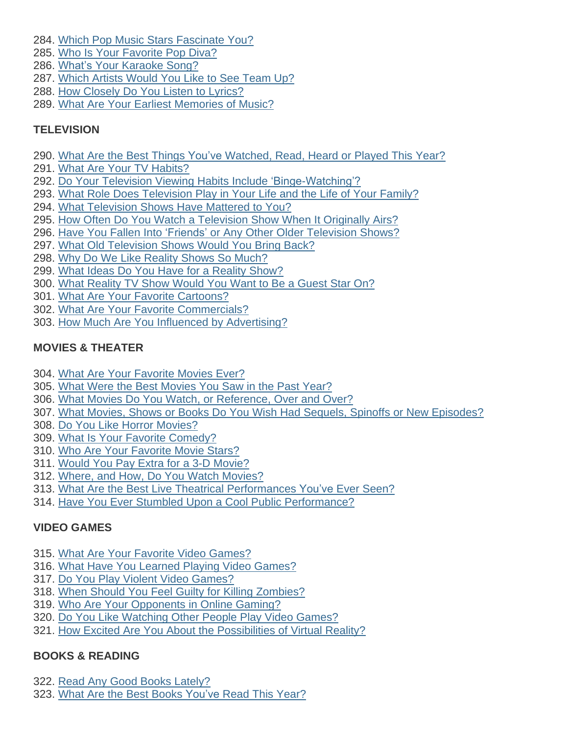- 284. Which Pop Music Stars [Fascinate](http://learning.blogs.nytimes.com/2010/11/02/which-pop-music-stars-fascinate-you/) You?
- 285. Who Is Your [Favorite](http://learning.blogs.nytimes.com/2014/06/05/who-is-your-favorite-pop-diva/) Pop Diva?
- 286. What's Your [Karaoke](http://learning.blogs.nytimes.com/2012/11/29/whats-your-karaoke-song/) Song?
- 287. Which Artists [Would](http://learning.blogs.nytimes.com/2015/10/09/what-artists-would-you-like-to-see-team-up/) You Like to See Team Up?
- 288. How [Closely](http://learning.blogs.nytimes.com/2014/01/10/how-closely-do-you-listen-to-song-lyrics/) Do You Listen to Lyrics?
- 289. What Are Your Earliest [Memories](http://learning.blogs.nytimes.com/2016/05/09/student-question-what-are-your-earliest-memories-of-music/) of Music?

## **TELEVISION**

- 290. What Are the Best Things You've [Watched,](http://learning.blogs.nytimes.com/2013/12/04/what-are-the-best-things-youve-read-watched-heard-or-played-this-year/) Read, Heard or Played This Year?
- 291. What Are Your TV [Habits?](http://learning.blogs.nytimes.com/2015/03/05/what-are-your-tv-habits/)
- 292. Do Your Television Viewing Habits Include ['Binge-Watching'?](http://learning.blogs.nytimes.com/2013/09/30/do-your-television-viewing-habits-include-binge-watching/)
- 293. What Role Does [Television](http://learning.blogs.nytimes.com/2011/10/19/what-role-does-television-play-in-your-life-and-the-life-of-your-family/) Play in Your Life and the Life of Your Family?
- 294. What [Television](http://learning.blogs.nytimes.com/2014/09/25/what-television-shows-have-mattered-to-you/) Shows Have Mattered to You?
- 295. How Often Do You Watch a [Television](http://learning.blogs.nytimes.com/2014/11/10/how-often-do-you-watch-a-television-show-when-it-originally-airs/) Show When It Originally Airs?
- 296. Have You Fallen Into 'Friends' or Any Other Older [Television](http://learning.blogs.nytimes.com/2015/10/05/have-you-fallen-into-friends-or-any-other-older-television-shows/) Shows?
- 297. What Old [Television](http://learning.blogs.nytimes.com/2013/05/28/what-old-television-shows-would-you-bring-back/) Shows Would You Bring Back?
- 298. Why Do We Like [Reality](http://learning.blogs.nytimes.com/2010/10/15/why-do-we-like-reality-shows-so-much/) Shows So Much?
- 299. What Ideas Do You Have for a Reality [Show?](http://learning.blogs.nytimes.com/2011/04/04/what-ideas-do-you-have-for-a-reality-show/)
- 300. What [Reality](http://learning.blogs.nytimes.com/2015/12/22/what-reality-tv-show-would-you-want-to-be-a-guest-star-on/) TV Show Would You Want to Be a Guest Star On?
- 301. What Are Your Favorite [Cartoons?](http://learning.blogs.nytimes.com/2011/10/28/what-are-your-favorite-cartoons/)
- 302. What Are Your Favorite [Commercials?](http://learning.blogs.nytimes.com/2011/02/07/what-are-your-favorite-commercials/)
- 303. How Much Are You Influenced by [Advertising?](http://learning.blogs.nytimes.com/2010/04/28/how-much-are-you-influenced-by-advertising/)

## **MOVIES & THEATER**

- 304. What Are Your [Favorite](http://learning.blogs.nytimes.com/2015/01/16/what-are-your-favorite-movies-ever/) Movies Ever?
- 305. What Were the Best [Movies](http://learning.blogs.nytimes.com/2014/01/17/what-were-the-best-movies-you-saw-in-the-past-year/) You Saw in the Past Year?
- 306. What Movies Do You Watch, or [Reference,](http://learning.blogs.nytimes.com/2014/05/01/what-movies-do-you-watch-or-reference-over-and-over/) Over and Over?
- 307. What Movies, Shows or Books Do You Wish Had Sequels, Spinoffs or New [Episodes?](http://learning.blogs.nytimes.com/2012/03/30/what-movies-shows-or-books-do-you-wish-had-sequels-spinoffs-or-new-episodes/)
- 308. Do You Like Horror [Movies?](http://learning.blogs.nytimes.com/2011/08/25/do-you-like-horror-movies/)
- 309. What Is Your Favorite [Comedy?](http://learning.blogs.nytimes.com/2010/06/30/what-is-your-favorite-comedy/)
- 310. Who Are Your [Favorite](http://learning.blogs.nytimes.com/2011/08/12/who-are-your-favorite-movie-stars/) Movie Stars?
- 311. Would You Pay Extra for a 3-D [Movie?](http://learning.blogs.nytimes.com/2011/06/23/would-you-pay-extra-for-a-3-d-movie/)
- 312. Where, and How, Do You Watch [Movies?](http://learning.blogs.nytimes.com/2016/05/02/student-question-where-and-how-do-you-watch-movies/)
- 313. What Are the Best Live Theatrical [Performances](http://learning.blogs.nytimes.com/2011/03/11/what-are-the-best-live-theatrical-performances-youve-ever-seen/) You've Ever Seen?
- 314. Have You Ever Stumbled Upon a Cool Public [Performance?](http://learning.blogs.nytimes.com/2013/06/13/have-you-ever-stumbled-upon-a-cool-public-performance/)

# **VIDEO GAMES**

- 315. What Are Your Favorite Video [Games?](http://learning.blogs.nytimes.com/2009/12/04/what-are-your-favorite-video-games/)
- 316. What Have You Learned Playing Video [Games?](http://learning.blogs.nytimes.com/2014/04/23/what-have-you-learned-from-playing-video-games/)
- 317. Do You Play Violent Video [Games?](http://learning.blogs.nytimes.com/2011/06/28/do-you-play-violent-video-games/)
- 318. When Should You Feel Guilty for Killing [Zombies?](http://learning.blogs.nytimes.com/2012/05/10/when-should-you-feel-guilty-for-killing-zombies/)
- 319. Who Are Your [Opponents](http://learning.blogs.nytimes.com/2011/09/19/who-are-your-opponents-in-online-gaming/) in Online Gaming?
- 320. Do You Like [Watching](http://learning.blogs.nytimes.com/2014/09/04/do-you-like-watching-other-people-play-video-games/) Other People Play Video Games?
- 321. How Excited Are You About the [Possibilities](http://learning.blogs.nytimes.com/2015/10/28/how-excited-are-you-about-the-possibilities-of-virtual-reality/) of Virtual Reality?

# **BOOKS & READING**

- 322. Read Any Good Books [Lately?](http://learning.blogs.nytimes.com/2013/02/14/read-any-good-books-lately/)
- 323. What Are the Best Books [You've](http://learning.blogs.nytimes.com/2015/12/08/what-are-the-best-books-youve-read-in-the-past-year/) Read This Year?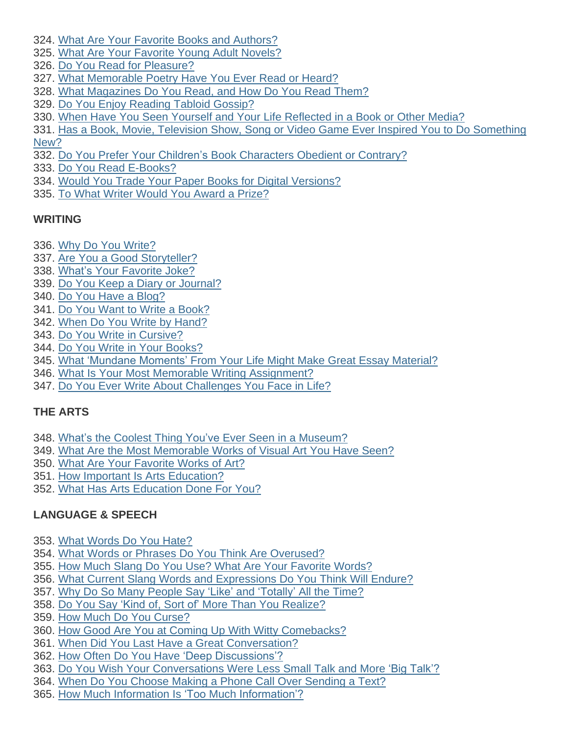- 324. What Are Your Favorite Books and [Authors?](http://learning.blogs.nytimes.com/2010/01/29/what-are-your-favorite-books-and-authors/)
- 325. What Are Your Favorite Young Adult [Novels?](http://learning.blogs.nytimes.com/2012/02/23/what-are-your-favorite-young-adult-novels/)
- 326. Do You Read for [Pleasure?](http://learning.blogs.nytimes.com/2014/05/15/do-you-read-for-pleasure/)
- 327. What [Memorable](http://learning.blogs.nytimes.com/2011/03/31/what-memorable-poetry-have-you-ever-read-or-heard/) Poetry Have You Ever Read or Heard?
- 328. What [Magazines](http://learning.blogs.nytimes.com/2012/10/19/what-magazines-do-you-read-and-ho-do-you-read-them/) Do You Read, and How Do You Read Them?
- 329. Do You Enjoy [Reading](http://learning.blogs.nytimes.com/2013/05/31/do-you-enjoy-reading-tabloid-gossip/) Tabloid Gossip?
- 330. When Have You Seen Yourself and Your Life [Reflected](http://learning.blogs.nytimes.com/2012/12/07/when-have-you-seen-yourself-and-your-life-reflected-in-a-book-or-other-media/) in a Book or Other Media?
- 331. Has a Book, Movie, Television Show, Song or Video Game Ever Inspired You to Do [Something](http://learning.blogs.nytimes.com/2015/05/18/has-a-book-movie-television-show-song-or-video-game-ever-inspired-you-to-do-something-new/) [New?](http://learning.blogs.nytimes.com/2015/05/18/has-a-book-movie-television-show-song-or-video-game-ever-inspired-you-to-do-something-new/)
- 332. Do You Prefer Your Children's Book [Characters](http://learning.blogs.nytimes.com/2012/05/09/do-you-prefer-your-childrens-book-characters-obedient-or-contrary/) Obedient or Contrary?
- 333. Do You Read [E-Books?](http://learning.blogs.nytimes.com/2011/06/24/do-you-read-e-books/)
- 334. Would You Trade Your Paper Books for Digital [Versions?](http://learning.blogs.nytimes.com/2010/10/21/would-you-trade-your-paper-books-for-digital-versions/)
- 335. To What Writer [Would](http://learning.blogs.nytimes.com/2010/10/08/to-what-author-would-you-award-a-prize/) You Award a Prize?

## **WRITING**

- 336. Why Do You [Write?](http://learning.blogs.nytimes.com/2011/10/20/why-do-you-write/)
- 337. Are You a Good [Storyteller?](http://learning.blogs.nytimes.com/2014/12/18/are-you-a-good-storyteller/)
- 338. What's Your [Favorite](http://learning.blogs.nytimes.com/2016/03/11/student-question-whats-your-favorite-joke/) Joke?
- 339. Do You Keep a Diary or [Journal?](http://learning.blogs.nytimes.com/2011/10/03/do-you-keep-a-diary-or-journal/)
- 340. Do You Have a [Blog?](http://learning.blogs.nytimes.com/2012/01/31/do-you-have-a-blog/)
- 341. Do You Want to Write a [Book?](http://learning.blogs.nytimes.com/2012/04/03/do-you-want-to-write-a-book/)
- 342. When Do You Write by [Hand?](http://learning.blogs.nytimes.com/2014/06/04/when-do-you-write-by-hand/)
- 343. Do You Write in [Cursive?](http://learning.blogs.nytimes.com/2011/04/29/do-you-write-in-cursive/)
- 344. Do You Write in Your [Books?](http://learning.blogs.nytimes.com/2011/02/22/do-you-write-in-your-books/)
- 345. What ['Mundane](http://learning.blogs.nytimes.com/2010/10/14/what-mundane-moments-in-your-life-might-make-great-essay-material/) Moments' From Your Life Might Make Great Essay Material?
- 346. What Is Your Most Memorable Writing [Assignment?](http://learning.blogs.nytimes.com/2012/01/23/what-is-your-most-memorable-writing-assignment/)
- 347. Do You Ever Write About [Challenges](http://learning.blogs.nytimes.com/2015/01/22/do-you-ever-write-about-challenges-you-face-in-life/) You Face in Life?

# **THE ARTS**

- 348. What's the Coolest Thing You've Ever Seen in a [Museum?](http://learning.blogs.nytimes.com/2012/03/22/whats-the-coolest-thing-youve-ever-seen-in-a-museum-2/)
- 349. What Are the Most [Memorable](http://learning.blogs.nytimes.com/2014/05/14/what-are-the-most-memorable-works-of-visual-art-you-have-seen-in-your-life/) Works of Visual Art You Have Seen?
- 350. What Are Your [Favorite](http://learning.blogs.nytimes.com/2011/05/13/what-are-your-favorite-works-of-art/) Works of Art?
- 351. How Important Is Arts [Education?](http://learning.blogs.nytimes.com/2011/02/08/how-important-is-arts-education/)
- 352. What Has Arts [Education](http://learning.blogs.nytimes.com/2016/05/05/student-question-what-has-arts-education-done-for-you/) Done For You?

# **LANGUAGE & SPEECH**

- 353. What [Words](http://learning.blogs.nytimes.com/2016/05/12/student-question-what-words-do-you-hate/) Do You Hate?
- 354. What Words or Phrases Do You Think Are [Overused?](http://learning.blogs.nytimes.com/2012/10/05/what-words-or-phrases-do-you-think-are-overused/)
- 355. How Much Slang Do You Use? What Are Your [Favorite](http://learning.blogs.nytimes.com/2013/05/22/how-much-slang-do-you-use-what-are-your-favorite-printable-words/) Words?
- 356. What Current Slang Words and [Expressions](http://learning.blogs.nytimes.com/2015/11/23/what-current-slang-words-and-expressions-do-you-think-will-endure/) Do You Think Will Endure?
- 357. Why Do So Many People Say 'Like' and ['Totally'](http://learning.blogs.nytimes.com/2014/04/07/why-do-so-many-people-say-like-and-totally-all-the-time/) All the Time?
- 358. Do You Say 'Kind of, Sort of' More Than You [Realize?](http://learning.blogs.nytimes.com/2015/06/02/do-you-say-kind-of-sort-of-more-than-you-realize/)
- 359. How Much Do You [Curse?](http://learning.blogs.nytimes.com/2010/04/13/how-much-do-you-curse-why/)
- 360. How Good Are You at Coming Up With Witty [Comebacks?](http://learning.blogs.nytimes.com/2015/03/19/how-good-are-you-at-coming-up-with-witty-comebacks/)
- 361. When Did You Last Have a Great [Conversation?](http://learning.blogs.nytimes.com/2012/04/23/when-did-you-last-have-a-great-conversatio/)
- 362. How Often Do You Have 'Deep [Discussions'?](http://learning.blogs.nytimes.com/2010/03/22/how-often-do-you-have-deep-discussions/)
- 363. Do You Wish Your [Conversations](http://learning.blogs.nytimes.com/2016/01/28/student-question-do-you-wish-your-conversations-were-less-small-talk-and-more-big-talk/) Were Less Small Talk and More 'Big Talk'?
- 364. When Do You Choose Making a Phone Call Over [Sending](http://learning.blogs.nytimes.com/2014/01/06/when-do-you-choose-making-a-phone-call-over-sending-a-text/) a Text?
- 365. How Much Information Is 'Too Much [Information'?](http://learning.blogs.nytimes.com/2012/02/17/how-much-information-is-too-much-information/)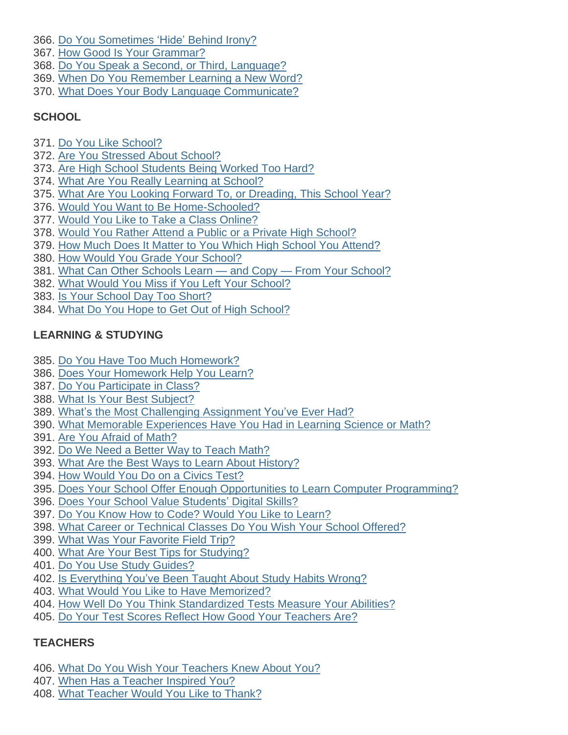- 366. Do You [Sometimes](http://learning.blogs.nytimes.com/2012/11/19/121646/) 'Hide' Behind Irony?
- 367. How Good Is Your [Grammar?](http://learning.blogs.nytimes.com/2013/03/04/how-good-is-your-grammar/)
- 368. Do You Speak a Second, or Third, [Language?](http://learning.blogs.nytimes.com/2011/05/31/do-you-speak-a-second-or-third-language/)
- 369. When Do You [Remember](http://learning.blogs.nytimes.com/2010/11/15/when-do-you-remember-learning-a-new-word/) Learning a New Word?
- 370. What Does Your Body Language [Communicate?](http://learning.blogs.nytimes.com/2016/03/03/student-question-what-does-your-body-language-communicate/)

## **SCHOOL**

- 371. Do You Like [School?](http://learning.blogs.nytimes.com/2014/06/03/do-you-like-school/)
- 372. Are You [Stressed](http://www.nytimes.com/2016/10/13/learning/are-you-stressed-about-school.html) About School?
- 373. Are High School [Students](http://learning.blogs.nytimes.com/2015/09/15/are-high-school-students-being-worked-too-hard/) Being Worked Too Hard?
- 374. What Are You Really [Learning](http://learning.blogs.nytimes.com/2011/09/07/what-are-you-really-learning-at-school/) at School?
- 375. What Are You Looking Forward To, or [Dreading,](http://learning.blogs.nytimes.com/2012/09/04/what-are-you-looking-forward-to-or-dreading-this-school-year-2/) This School Year?
- 376. Would You Want to Be [Home-Schooled?](http://learning.blogs.nytimes.com/2015/01/06/would-you-want-to-be-home-schooled-2/)
- 377. Would You Like to Take a Class [Online?](http://learning.blogs.nytimes.com/2011/10/05/would-you-like-to-take-a-class-online/)
- 378. Would You Rather Attend a Public or a Private High [School?](http://learning.blogs.nytimes.com/2012/02/16/would-you-rather-attend-a-public-or-a-private-high-school/)
- 379. How Much Does It Matter to You Which High School You [Attend?](http://learning.blogs.nytimes.com/2014/12/08/how-important-is-the-high-school-you-attend/)
- 380. How Would You Grade Your [School?](http://learning.blogs.nytimes.com/2009/11/19/how-would-you-grade-your-school/)
- 381. What Can Other Schools Learn and Copy From Your [School?](http://learning.blogs.nytimes.com/2012/03/26/what-can-other-schools-learn-and-copy-from-your-school/)
- 382. What Would You Miss if You Left Your [School?](http://learning.blogs.nytimes.com/2016/04/19/student-question-what-would-you-miss-if-you-left-your-school/)
- 383. Is Your [School](http://learning.blogs.nytimes.com/2011/08/24/is-your-school-day-too-short/) Day Too Short?
- 384. What Do You Hope to Get Out of High [School?](http://learning.blogs.nytimes.com/2011/08/19/what-do-you-hope-to-get-out-of-high-school/)

## **LEARNING & STUDYING**

- 385. Do You Have Too Much [Homework?](http://learning.blogs.nytimes.com/2011/06/16/do-you-have-too-much-homework/)
- 386. Does Your [Homework](http://learning.blogs.nytimes.com/2011/09/14/does-your-homework-help-you-learn/) Help You Learn?
- 387. Do You [Participate](http://learning.blogs.nytimes.com/2011/10/13/do-you-participate-in-class/) in Class?
- 388. What Is Your Best [Subject?](http://learning.blogs.nytimes.com/2011/06/15/what-is-your-best-subject/)
- 389. What's the Most [Challenging](http://learning.blogs.nytimes.com/2010/06/17/whats-the-most-challenging-assignment-youve-ever-had/) Assignment You've Ever Had?
- 390. What Memorable [Experiences](http://learning.blogs.nytimes.com/2013/09/02/what-memorable-experiences-have-you-had-in-learning-science-or-math/) Have You Had in Learning Science or Math?
- 391. Are You Afraid of [Math?](http://learning.blogs.nytimes.com/2011/04/21/are-you-afraid-of-math/)
- 392. Do We Need a Better Way to Teach [Math?](http://learning.blogs.nytimes.com/2016/03/02/student-question-do-we-need-a-better-way-to-teach-math/)
- 393. What Are the Best Ways to Learn About [History?](http://learning.blogs.nytimes.com/2013/11/11/what-are-the-best-ways-to-learn-about-history/)
- 394. How [Would](http://learning.blogs.nytimes.com/2011/05/06/how-would-you-do-on-a-civics-test/) You Do on a Civics Test?
- 395. Does Your School Offer Enough Opportunities to Learn Computer [Programming?](http://learning.blogs.nytimes.com/2015/12/09/does-your-school-offer-enough-opportunities-to-learn-computer-programming/)
- 396. Does Your School Value [Students'](http://learning.blogs.nytimes.com/2011/08/09/does-your-school-value-students-digital-skills/) Digital Skills?
- 397. Do You Know How to Code? Would You Like to [Learn?](http://learning.blogs.nytimes.com/2014/10/15/do-you-know-how-to-code-would-you-like-to-learn/)
- 398. What Career or [Technical](http://learning.blogs.nytimes.com/2014/05/13/what-career-or-technical-classes-do-you-wish-your-school-offered/) Classes Do You Wish Your School Offered?
- 399. What Was Your [Favorite](http://learning.blogs.nytimes.com/2014/06/06/what-was-your-favorite-field-trip/) Field Trip?
- 400. What Are Your Best Tips for [Studying?](http://learning.blogs.nytimes.com/2014/10/09/what-are-your-best-tips-for-studying/)
- 401. Do You Use Study [Guides?](http://learning.blogs.nytimes.com/2010/09/21/do-you-use-study-guides/)
- 402. Is [Everything](http://learning.blogs.nytimes.com/2010/09/08/is-everything-youve-been-taught-about-study-habits-wrong/) You've Been Taught About Study Habits Wrong?
- 403. What Would You Like to Have [Memorized?](http://learning.blogs.nytimes.com/2011/03/09/what-would-you-like-to-have-memorized/)
- 404. How Well Do You Think [Standardized](http://learning.blogs.nytimes.com/2014/11/11/how-well-do-you-think-standardized-tests-measure-your-abilities-2/) Tests Measure Your Abilities?
- 405. Do Your Test Scores Reflect How Good Your [Teachers](http://learning.blogs.nytimes.com/2010/09/02/do-your-test-scores-reflect-how-good-your-teachers-are/) Are?

# **TEACHERS**

- 406. What Do You Wish Your [Teachers](http://learning.blogs.nytimes.com/2016/09/07/what-do-you-wish-your-teachers-knew-about-you-2/?rref=collection%2Fcolumn%2Flearning-student-opinion) Knew About You?
- 407. When Has a [Teacher](http://learning.blogs.nytimes.com/2013/01/04/when-has-a-teacher-inspired-you/) Inspired You?
- 408. What [Teacher](http://learning.blogs.nytimes.com/2011/09/06/what-teacher-would-you-like-to-thank/) Would You Like to Thank?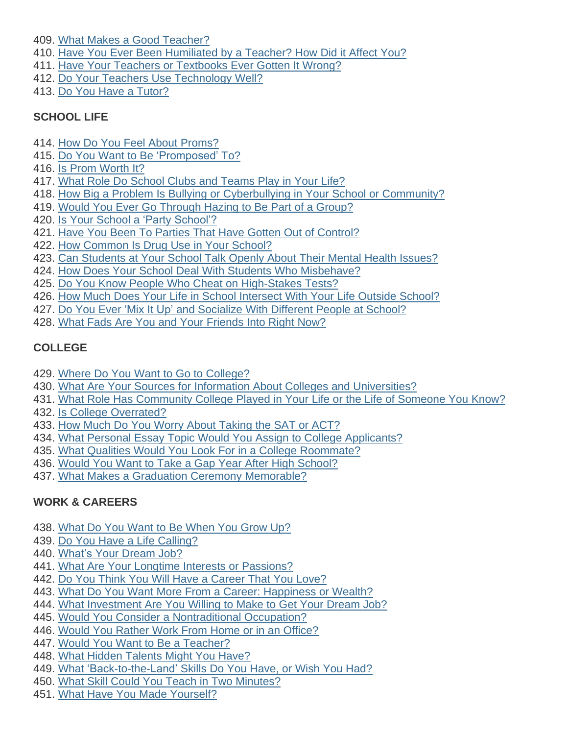409. What Makes a Good [Teacher?](http://learning.blogs.nytimes.com/2015/03/24/what-makes-a-good-teacher/)

- 410. Have You Ever Been [Humiliated](http://learning.blogs.nytimes.com/2016/02/26/student-question-have-you-ever-been-humiliated-by-a-teacher-how-did-it-affect-you/) by a Teacher? How Did it Affect You?
- 411. Have Your Teachers or [Textbooks](http://learning.blogs.nytimes.com/2015/10/06/have-your-teachers-or-textbooks-ever-gotten-it-wrong/) Ever Gotten It Wrong?
- 412. Do Your Teachers Use [Technology](http://learning.blogs.nytimes.com/2012/01/05/do-your-teachers-use-technology-well/) Well?
- 413. Do You Have a [Tutor?](http://learning.blogs.nytimes.com/2010/11/11/do-you-have-a-tutor-2/)

## **SCHOOL LIFE**

- 414. How Do You Feel About [Proms?](http://learning.blogs.nytimes.com/2011/06/03/how-do-you-feel-about-proms/)
- 415. Do You Want to Be ['Promposed'](http://learning.blogs.nytimes.com/2016/04/13/student-question-do-you-want-to-be-promposed-to/) To?
- 416. Is Prom [Worth](http://learning.blogs.nytimes.com/2013/05/02/is-prom-worth-it/) It?
- 417. What Role Do [School](http://learning.blogs.nytimes.com/2010/03/15/what-role-do-school-clubs-and-teams-play-in-your-life/) Clubs and Teams Play in Your Life?
- 418. How Big a Problem Is Bullying or [Cyberbullying](http://learning.blogs.nytimes.com/2013/09/18/how-big-a-problem-is-bullying-or-cyberbullying-in-your-school-or-community/) in Your School or Community?
- 419. Would You Ever Go [Through](http://learning.blogs.nytimes.com/2012/09/20/would-you-ever-go-through-hazing-to-be-part-of-a-group/) Hazing to Be Part of a Group?
- 420. Is Your School a 'Party [School'?](http://learning.blogs.nytimes.com/2009/10/20/is-your-school-a-party-school/)
- 421. Have You Been To Parties That Have Gotten Out of [Control?](http://learning.blogs.nytimes.com/2015/04/24/have-you-been-to-parties-that-have-gotten-out-of-control/)
- 422. How [Common](http://learning.blogs.nytimes.com/2014/04/25/how-common-is-drug-use-in-your-school/) Is Drug Use in Your School?
- 423. Can [Students](http://learning.blogs.nytimes.com/2014/05/23/do-students-at-your-school-talk-about-their-mental-health-issues/) at Your School Talk Openly About Their Mental Health Issues?
- 424. How Does Your School Deal With Students Who [Misbehave?](http://learning.blogs.nytimes.com/2013/04/09/how-does-your-school-deal-with-students-who-misbehave/)
- 425. Do You Know People Who Cheat on [High-Stakes](http://learning.blogs.nytimes.com/2011/09/29/do-you-know-people-who-cheat-on-high-stakes-tests/) Tests?
- 426. How Much Does Your Life in School [Intersect](http://learning.blogs.nytimes.com/2012/05/01/how-much-does-your-life-in-school-intersect-with-your-life-outside-school/) With Your Life Outside School?
- 427. Do You Ever 'Mix It Up' and [Socialize](http://learning.blogs.nytimes.com/2012/10/17/do-you-ever-mix-it-up-and-socialize-with-different-people-at-school/) With Different People at School?
- 428. What Fads Are You and Your [Friends](http://www.nytimes.com/2016/10/17/learning/what-fads-are-you-and-your-friends-into-right-now.html) Into Right Now?

## **COLLEGE**

- 429. Where Do You Want to Go to [College?](http://learning.blogs.nytimes.com/2013/04/16/where-do-you-want-to-go-to-college/)
- 430. What Are Your Sources for Information About Colleges and [Universities?](http://learning.blogs.nytimes.com/2013/04/01/what-are-your-sources-for-information-about-colleges-and-universities/)
- 431. What Role Has [Community](http://learning.blogs.nytimes.com/2015/02/13/what-role-has-community-college-played-in-your-life-or-the-life-of-someone-you-know/) College Played in Your Life or the Life of Someone You Know?
- 432. Is College [Overrated?](http://learning.blogs.nytimes.com/2011/05/26/is-college-overrated/)
- 433. How Much Do You Worry About [Taking](http://learning.blogs.nytimes.com/2016/02/11/student-question-how-much-do-you-worry-about-taking-the-sat-or-act/) the SAT or ACT?
- 434. What Personal Essay Topic Would You Assign to College [Applicants?](http://learning.blogs.nytimes.com/2013/11/04/what-personal-essay-topic-would-you-assign-to-college-applicants/)
- 435. What Qualities Would You Look For in a College [Roommate?](http://learning.blogs.nytimes.com/2014/03/14/what-qualities-would-you-look-for-in-a-college-roommate/)
- 436. Would You Want to Take a Gap Year After High [School?](http://learning.blogs.nytimes.com/2016/04/26/student-question-would-you-want-to-take-a-gap-year-after-high-school/)
- 437. What Makes a Graduation Ceremony [Memorable?](http://learning.blogs.nytimes.com/2011/06/20/70483/)

# **WORK & CAREERS**

- 438. What Do You Want to Be [When](http://learning.blogs.nytimes.com/2016/06/10/student-question-what-do-you-want-to-be-when-you-grow-up/) You Grow Up?
- 439. Do You Have a Life [Calling?](http://learning.blogs.nytimes.com/2011/06/01/do-you-have-a-life-calling/)
- 440. [What's](http://learning.blogs.nytimes.com/2016/03/10/student-question-whats-your-dream-job/) Your Dream Job?
- 441. What Are Your Longtime Interests or [Passions?](http://learning.blogs.nytimes.com/2014/04/22/what-are-your-long-time-interests-or-passions/)
- 442. Do You Think You Will Have a [Career](http://learning.blogs.nytimes.com/2014/05/28/do-you-think-you-will-have-a-career-that-you-love/) That You Love?
- 443. What Do You Want More From a Career: [Happiness](http://learning.blogs.nytimes.com/2015/05/15/what-do-you-want-more-from-a-career-happiness-or-wealth/) or Wealth?
- 444. What [Investment](http://learning.blogs.nytimes.com/2013/02/25/what-investment-are-you-willing-to-make-to-get-your-dream-job/) Are You Willing to Make to Get Your Dream Job?
- 445. Would You Consider a [Nontraditional](http://learning.blogs.nytimes.com/2012/05/22/would-you-consider-a-non-traditional-occupation/) Occupation?
- 446. Would You Rather Work From Home or in an [Office?](http://learning.blogs.nytimes.com/2013/03/01/would-you-rather-work-from-home-or-in-an-office/)
- 447. Would You Want to Be a [Teacher?](http://learning.blogs.nytimes.com/2011/03/29/would-you-want-to-be-a-teacher/)
- 448. What Hidden [Talents](http://learning.blogs.nytimes.com/2011/03/01/what-hidden-talents-might-you-have/) Might You Have?
- 449. What ['Back-to-the-Land'](http://learning.blogs.nytimes.com/2012/09/12/what-back-to-the-land-skills-do-you-have-or-wish-you-had/) Skills Do You Have, or Wish You Had?
- 450. What Skill Could You Teach in Two [Minutes?](http://learning.blogs.nytimes.com/2016/03/30/student-question-what-skill-could-you-teach-in-two-minutes/)
- 451. What Have You Made [Yourself?](http://learning.blogs.nytimes.com/2011/10/26/what-have-you-made-yourself/)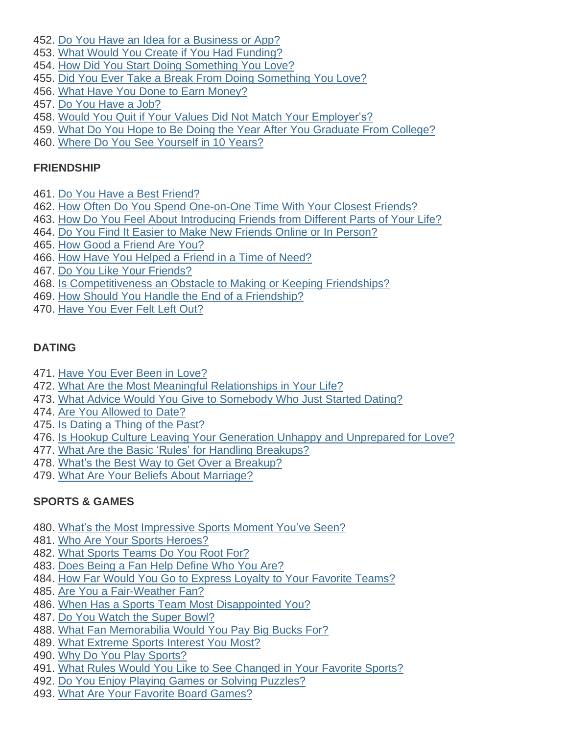- 452. Do You Have an Idea for a [Business](http://learning.blogs.nytimes.com/2015/02/04/do-you-have-an-idea-for-a-business-or-app/) or App?
- 453. What Would You Create if You Had [Funding?](http://learning.blogs.nytimes.com/2009/12/15/what-would-you-create-if-you-had-funding/)
- 454. How Did You Start Doing [Something](http://learning.blogs.nytimes.com/2012/10/01/how-did-you-start-doing-something-you-love/) You Love?
- 455. Did You Ever Take a Break From Doing [Something](http://learning.blogs.nytimes.com/2014/09/26/did-you-ever-take-a-break-from-doing-something-you-love/) You Love?
- 456. What Have You Done to Earn [Money?](http://learning.blogs.nytimes.com/2012/03/06/what-have-you-done-to-earn-money/)
- 457. Do You [Have](http://learning.blogs.nytimes.com/2012/06/07/do-you-have-a-summer-job-2/) a Job?
- 458. Would You Quit if Your Values Did Not Match Your [Employer's?](http://learning.blogs.nytimes.com/2012/03/15/would-you-quit-if-your-values-did-not-match-your-employers/)
- 459. What Do You Hope to Be Doing the Year After You [Graduate](http://learning.blogs.nytimes.com/2012/03/27/what-do-you-hope-to-be-doing-the-year-after-you-graduate-from-college/) From College?
- 460. Where Do You See [Yourself](http://learning.blogs.nytimes.com/2011/03/24/where-do-you-see-yourself-in-10-years/) in 10 Years?

#### **FRIENDSHIP**

- 461. Do You Have a Best [Friend?](http://learning.blogs.nytimes.com/2010/06/18/do-you-have-a-best-friend/)
- 462. How Often Do You Spend [One-on-One](http://learning.blogs.nytimes.com/2015/03/16/how-often-do-you-spend-one-on-one-time-with-your-closest-friends/) Time With Your Closest Friends?
- 463. How Do You Feel About [Introducing](http://learning.blogs.nytimes.com/2014/10/27/how-do-you-feel-about-introducing-friends-from-different-parts-of-your-life/) Friends from Different Parts of Your Life?
- 464. Do You Find It Easier to Make New Friends Online or In [Person?](http://learning.blogs.nytimes.com/2015/08/31/do-you-find-it-easier-to-make-new-friends-online-or-in-person/)
- 465. How Good a [Friend](http://learning.blogs.nytimes.com/2015/02/10/how-good-of-a-friend-are-you/) Are You?
- 466. How Have You [Helped](http://learning.blogs.nytimes.com/2016/01/26/student-question-how-have-you-helped-a-friend-in-a-time-of-need/) a Friend in a Time of Need?
- 467. Do You Like Your [Friends?](http://www.nytimes.com/2016/09/20/learning/do-you-like-your-friends.html)
- 468. Is [Competitiveness](http://learning.blogs.nytimes.com/2015/11/02/is-competitiveness-an-obstacle-to-making-or-keeping-friendships/) an Obstacle to Making or Keeping Friendships?
- 469. How Should You Handle the End of a [Friendship?](http://learning.blogs.nytimes.com/2012/01/30/how-should-you-handle-the-end-of-a-friendship/)
- 470. [Have](http://learning.blogs.nytimes.com/2015/10/02/have-you-ever-felt-left-out/) You Ever Felt Left Out?

## **DATING**

- 471. Have You Ever Been in [Love?](http://learning.blogs.nytimes.com/2012/12/05/have-you-ever-been-in-love/)
- 472. What Are the Most Meaningful [Relationships](http://learning.blogs.nytimes.com/2010/02/12/what-are-the-most-meaningful-relationships-in-your-life/) in Your Life?
- 473. What Advice Would You Give to [Somebody](http://learning.blogs.nytimes.com/2012/06/05/what-advice-would-you-give-to-somebody-who-just-started-dating/) Who Just Started Dating?
- 474. Are You [Allowed](http://learning.blogs.nytimes.com/2010/08/31/are-you-allowed-to-date/) to Date?
- 475. Is [Dating](http://learning.blogs.nytimes.com/2013/01/14/is-the-date-a-thing-of-the-past/) a Thing of the Past?
- 476. Is Hookup Culture Leaving Your Generation Unhappy and [Unprepared](http://learning.blogs.nytimes.com/2014/02/12/is-hookup-culture-leaving-your-generation-unhappy-and-unprepared-for-love/) for Love?
- 477. What Are the Basic 'Rules' for Handling [Breakups?](http://learning.blogs.nytimes.com/2011/08/08/what-are-the-basic-rules-for-handling-breakups/)
- 478. What's the Best Way to Get Over a [Breakup?](http://learning.blogs.nytimes.com/2015/02/05/whats-the-best-way-to-get-over-a-breakup/)
- 479. What Are Your Beliefs About [Marriage?](http://learning.blogs.nytimes.com/2010/03/03/what-are-your-beliefs-about-marriage/)

# **SPORTS & GAMES**

- 480. What's the Most [Impressive](http://learning.blogs.nytimes.com/2013/03/06/whats-the-most-impressive-sports-moment-youve-seen/) Sports Moment You've Seen?
- 481. Who Are Your Sports [Heroes?](http://learning.blogs.nytimes.com/2015/09/24/who-are-your-sports-heroes/)
- 482. What Sports [Teams](http://learning.blogs.nytimes.com/2010/10/13/what-sports-teams-do-you-root-for-why/) Do You Root For?
- 483. Does Being a Fan Help [Define](http://learning.blogs.nytimes.com/2013/02/04/does-being-a-fan-help-define-who-you-are/) Who You Are?
- 484. How Far Would You Go to Express Loyalty to Your Favorite [Teams?](http://learning.blogs.nytimes.com/2014/10/03/how-far-would-you-go-to-express-loyalty-to-your-favorite-teams/)
- 485. Are You a [Fair-Weather](http://learning.blogs.nytimes.com/2015/11/03/are-you-a-fair-weather-fan/) Fan?
- 486. When Has a Sports Team Most [Disappointed](http://learning.blogs.nytimes.com/2013/05/15/when-has-a-sports-team-most-disappointed-you/) You?
- 487. Do You [Watch](http://learning.blogs.nytimes.com/2015/01/28/do-you-watch-the-super-bowl-2/) the Super Bowl?
- 488. What Fan [Memorabilia](http://learning.blogs.nytimes.com/2011/06/30/what-fan-memorabilia-would-you-pay-big-bucks-for/) Would You Pay Big Bucks For?
- 489. What [Extreme](http://learning.blogs.nytimes.com/2015/01/14/what-extreme-sports-interest-you-most/) Sports Interest You Most?
- 490. Why Do You Play [Sports?](http://learning.blogs.nytimes.com/2010/02/01/why-do-you-play-sports/)
- 491. What Rules Would You Like to See [Changed](http://learning.blogs.nytimes.com/2014/05/16/what-rules-would-you-like-to-see-changed-in-your-favorite-sports/) in Your Favorite Sports?
- 492. Do You Enjoy Playing Games or Solving [Puzzles?](http://learning.blogs.nytimes.com/2015/10/13/do-you-enjoy-playing-games-or-solving-puzzles/)
- 493. What Are Your Favorite Board [Games?](http://learning.blogs.nytimes.com/2016/02/01/student-question-what-are-your-favorite-board-games/)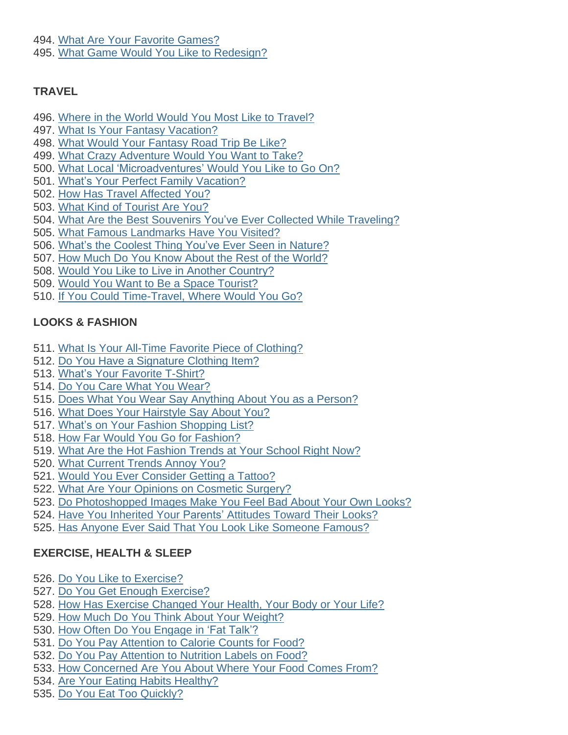494. What Are Your Favorite [Games?](http://learning.blogs.nytimes.com/2011/02/18/what-are-your-favorite-games/) 495. What Game Would You Like to [Redesign?](http://learning.blogs.nytimes.com/2012/01/11/what-game-would-you-like-to-redesign/)

## **TRAVEL**

- 496. Where in the World Would You Most Like to [Travel?](http://learning.blogs.nytimes.com/2016/01/14/student-question-where-in-the-world-would-you-most-like-to-travel/)
- 497. What Is Your Fantasy [Vacation?](http://learning.blogs.nytimes.com/2012/04/18/what-is-your-fantasy-vacation/)
- 498. What Would Your [Fantasy](http://learning.blogs.nytimes.com/2012/05/21/what-would-your-fantasy-road-trip-be-like/) Road Trip Be Like?
- 499. What Crazy [Adventure](http://learning.blogs.nytimes.com/2014/02/19/what-crazy-adventure-would-you-want-to-take/) Would You Want to Take?
- 500. What Local ['Microadventures'](http://learning.blogs.nytimes.com/2015/03/25/what-local-microadventures-would-you-like-to-go-on/) Would You Like to Go On?
- 501. What's Your Perfect Family [Vacation?](http://learning.blogs.nytimes.com/2015/05/06/whats-your-perfect-family-vacation/)
- 502. How Has Travel [Affected](http://learning.blogs.nytimes.com/2011/05/03/how-has-travel-affected-you/) You?
- 503. What Kind of [Tourist](http://learning.blogs.nytimes.com/2015/12/17/what-kind-of-tourist-are-you/) Are You?
- 504. What Are the Best Souvenirs You've Ever Collected While [Traveling?](http://learning.blogs.nytimes.com/2012/10/24/what-are-the-best-souvenirs-youve-ever-collected-while-traveling/)
- 505. What Famous [Landmarks](http://learning.blogs.nytimes.com/2011/09/26/what-famous-landmarks-have-you-visited/) Have You Visited?
- 506. What's the Coolest Thing You've Ever Seen in [Nature?](http://learning.blogs.nytimes.com/2013/04/03/whats-the-coolest-thing-youve-ever-seen-in-nature/)
- 507. How Much Do You Know About the Rest of the [World?](http://www.nytimes.com/2016/09/23/learning/how-much-do-you-know-about-the-rest-of-the-world.html)
- 508. Would You Like to Live in Another [Country?](http://learning.blogs.nytimes.com/2011/09/20/would-you-like-to-live-in-another-country/)
- 509. Would You Want to Be a Space [Tourist?](http://learning.blogs.nytimes.com/2014/11/05/would-you-want-to-be-a-space-tourist/)
- 510. If You Could [Time-Travel,](http://learning.blogs.nytimes.com/2015/10/21/if-you-could-time-travel-where-would-you-go/) Where Would You Go?

## **LOOKS & FASHION**

- 511. What Is Your All-Time Favorite Piece of [Clothing?](http://learning.blogs.nytimes.com/2015/02/17/what-is-your-all-time-favorite-piece-of-clothing/)
- 512. Do You Have a [Signature](http://learning.blogs.nytimes.com/2012/01/04/do-you-have-a-signature-clothing-item/) Clothing Item?
- 513. What's Your [Favorite](http://learning.blogs.nytimes.com/2015/12/03/whats-your-favorite-t-shirt/) T-Shirt?
- 514. Do You Care What You [Wear?](http://learning.blogs.nytimes.com/2015/04/28/do-you-care-what-you-wear/)
- 515. Does What You Wear Say [Anything](http://learning.blogs.nytimes.com/2015/10/08/does-what-you-wear-say-anything-about-you-as-a-person/) About You as a Person?
- 516. What Does Your [Hairstyle](http://learning.blogs.nytimes.com/2013/10/10/what-does-your-hairstyle-say-about-you/) Say About You?
- 517. What's on Your Fashion [Shopping](http://learning.blogs.nytimes.com/2010/08/27/whats-on-your-fall-fashion-shopping-list/) List?
- 518. How Far Would You Go for [Fashion?](http://learning.blogs.nytimes.com/2012/05/17/how-far-would-you-go-for-fashion/)
- 519. What Are the Hot [Fashion](http://learning.blogs.nytimes.com/2010/01/27/what-are-the-hot-fashion-trends-at-your-school-right-now/) Trends at Your School Right Now?
- 520. What [Current](http://learning.blogs.nytimes.com/2015/09/18/what-current-trends-annoy-you/) Trends Annoy You?
- 521. Would You Ever [Consider](http://learning.blogs.nytimes.com/2013/04/19/would-you-ever-consider-getting-a-tattoo/) Getting a Tattoo?
- 522. What Are Your Opinions on [Cosmetic](http://learning.blogs.nytimes.com/2014/10/29/what-are-your-opinions-on-cosmetic-surgery/) Surgery?
- 523. Do [Photoshopped](http://learning.blogs.nytimes.com/2011/11/30/do-photoshopped-images-make-you-feel-bad-about-your-own-looks/) Images Make You Feel Bad About Your Own Looks?
- 524. Have You [Inherited](http://learning.blogs.nytimes.com/2016/05/31/student-question-have-you-inherited-your-parents-attitudes-toward-their-looks/) Your Parents' Attitudes Toward Their Looks?
- 525. Has Anyone Ever Said That You Look Like [Someone](http://learning.blogs.nytimes.com/2012/10/31/has-anyone-ever-said-that-you-look-like-someone-famous/) Famous?

# **EXERCISE, HEALTH & SLEEP**

- 526. Do You Like to [Exercise?](http://learning.blogs.nytimes.com/2014/04/10/do-you-like-to-exercise/)
- 527. Do You Get Enough [Exercise?](http://learning.blogs.nytimes.com/2015/12/15/do-you-get-enough-exercise/)
- 528. How Has Exercise [Changed](http://learning.blogs.nytimes.com/2014/05/27/how-has-exercise-changed-your-health-your-body-or-your-life/) Your Health, Your Body or Your Life?
- 529. How Much Do You Think About Your [Weight?](http://learning.blogs.nytimes.com/2016/05/03/student-question-how-much-do-you-think-about-your-body-weight/)
- 530. How Often Do You [Engage](http://learning.blogs.nytimes.com/2015/03/18/how-often-do-you-engage-in-fat-talk/) in 'Fat Talk'?
- 531. Do You Pay [Attention](http://learning.blogs.nytimes.com/2015/05/12/do-you-pay-attention-to-calorie-counts-for-food/) to Calorie Counts for Food?
- 532. Do You Pay [Attention](http://learning.blogs.nytimes.com/2014/02/28/do-you-pay-attention-to-nutrition-labels-on-food/) to Nutrition Labels on Food?
- 533. How [Concerned](http://learning.blogs.nytimes.com/2010/09/16/how-concerned-are-you-about-where-your-food-comes-from/) Are You About Where Your Food Comes From?
- 534. Are Your Eating Habits [Healthy?](http://learning.blogs.nytimes.com/2011/01/25/are-your-eating-habits-healthy/)
- 535. Do You Eat Too [Quickly?](http://learning.blogs.nytimes.com/2012/02/13/do-you-eat-too-quickly/)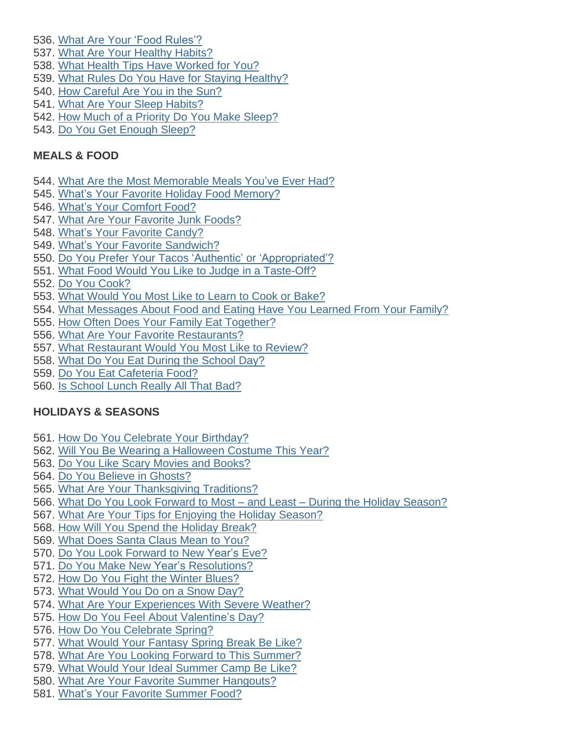- 536. What Are Your 'Food [Rules'?](http://learning.blogs.nytimes.com/2010/02/05/what-are-your-food-rules/)
- 537. What Are Your Healthy [Habits?](http://learning.blogs.nytimes.com/2016/01/27/student-question-what-are-your-healthy-habits/)
- 538. What Health Tips Have [Worked](http://learning.blogs.nytimes.com/2010/10/01/what-health-tips-have-worked-for-you/) for You?
- 539. What Rules Do You Have for Staying [Healthy?](http://www.nytimes.com/2016/09/28/learning/what-rules-do-you-have-for-staying-healthy.html)
- 540. How [Careful](http://learning.blogs.nytimes.com/2013/05/30/how-careful-are-you-in-the-sun/) Are You in the Sun?
- 541. What Are Your Sleep [Habits?](http://learning.blogs.nytimes.com/2012/09/26/what-are-your-sleep-habits/)
- 542. How Much of a Priority Do You Make [Sleep?](http://learning.blogs.nytimes.com/2014/01/16/how-much-of-a-priority-do-you-make-sleep-in-your-life/)
- 543. Do You Get [Enough](http://learning.blogs.nytimes.com/2010/02/23/do-you-get-enough-sleep/) Sleep?

## **MEALS & FOOD**

- 544. What Are the Most [Memorable](http://learning.blogs.nytimes.com/2012/10/18/what-are-the-most-memorable-meals-youve-ever-had/) Meals You've Ever Had?
- 545. What's Your Favorite Holiday Food [Memory?](http://learning.blogs.nytimes.com/2011/12/22/whats-your-favorite-holiday-food-memory/)
- 546. What's Your [Comfort](http://learning.blogs.nytimes.com/2012/05/25/whats-your-comfort-food/) Food?
- 547. What Are Your [Favorite](http://learning.blogs.nytimes.com/2012/03/08/what-are-your-favorite-junk-foods/) Junk Foods?
- 548. What's Your [Favorite](http://learning.blogs.nytimes.com/2016/05/18/whats-your-favorite-candy/) Candy?
- 549. What's Your Favorite [Sandwich?](http://learning.blogs.nytimes.com/2015/04/17/whats-your-favorite-sandwich/)
- 550. Do You Prefer Your Tacos 'Authentic' or ['Appropriated'?](http://learning.blogs.nytimes.com/2012/05/03/do-you-prefer-your-tacos-authentic-or-appropriated/)
- 551. What Food Would You Like to Judge in a [Taste-Off?](http://learning.blogs.nytimes.com/2013/02/08/what-food-would-you-like-to-judge-in-a-taste-off/)
- 552. Do You [Cook?](http://learning.blogs.nytimes.com/2012/02/02/do-you-cook/)
- 553. What [Would](http://learning.blogs.nytimes.com/2014/05/22/what-would-you-most-like-to-learn-to-cook-or-bake/) You Most Like to Learn to Cook or Bake?
- 554. What [Messages](http://learning.blogs.nytimes.com/2014/05/07/what-messages-about-food-and-eating-have-you-learned-from-your-family/) About Food and Eating Have You Learned From Your Family?
- 555. How Often Does Your Family Eat [Together?](http://learning.blogs.nytimes.com/2016/04/15/student-question-how-often-does-your-family-eat-together/)
- 556. What Are Your Favorite [Restaurants?](http://learning.blogs.nytimes.com/2015/03/09/what-are-your-favorite-restaurants/)
- 557. What [Restaurant](http://learning.blogs.nytimes.com/2014/11/13/what-restaurant-would-you-most-like-to-review/) Would You Most Like to Review?
- 558. What Do You Eat During the [School](http://learning.blogs.nytimes.com/2012/02/22/what-do-you-eat-during-the-school-day/) Day?
- 559. Do You Eat [Cafeteria](http://learning.blogs.nytimes.com/2011/03/10/do-you-eat-cafeteria-food/) Food?
- 560. Is [School](http://learning.blogs.nytimes.com/2015/10/01/is-school-lunch-really-all-that-bad/) Lunch Really All That Bad?

## **HOLIDAYS & SEASONS**

- 561. How Do You [Celebrate](http://learning.blogs.nytimes.com/2016/03/08/student-question-how-do-you-celebrate-your-birthday/) Your Birthday?
- 562. Will You Be Wearing a [Halloween](http://learning.blogs.nytimes.com/2013/10/28/will-you-be-wearing-a-halloween-costume-this-year/) Costume This Year?
- 563. Do You Like Scary Movies and [Books?](http://learning.blogs.nytimes.com/2012/10/26/do-you-like-scary-movies-and-books/)
- 564. Do You Believe in [Ghosts?](http://learning.blogs.nytimes.com/2013/10/15/do-you-believe-in-ghosts/)
- 565. What Are Your [Thanksgiving](http://learning.blogs.nytimes.com/2015/11/19/what-are-your-thanksgiving-traditions-2/) Traditions?
- 566. What Do You Look Forward to Most and Least During the Holiday [Season?](http://learning.blogs.nytimes.com/2014/12/15/what-do-you-look-forward-to-most-and-least-during-the-holiday-season/)
- 567. What Are Your Tips for Enjoying the Holiday [Season?](http://learning.blogs.nytimes.com/2012/12/10/what-are-your-tips-for-enjoying-the-holiday-season/)
- 568. How Will You Spend the [Holiday](http://learning.blogs.nytimes.com/2012/12/20/how-are-you-spending-the-holiday-break-2/) Break?
- 569. What Does [Santa](http://learning.blogs.nytimes.com/2014/12/22/what-does-santa-claus-mean-to-you/) Claus Mean to You?
- 570. Do You Look [Forward](http://learning.blogs.nytimes.com/2014/12/23/do-you-look-forward-to-new-years-eve/) to New Year's Eve?
- 571. Do You Make New Year's [Resolutions?](http://learning.blogs.nytimes.com/2012/01/03/do-you-make-new-years-resolutions/)
- 572. How Do You Fight the Winter [Blues?](http://learning.blogs.nytimes.com/2013/01/28/how-do-you-fight-the-winter-blues/)
- 573. What [Would](http://learning.blogs.nytimes.com/2015/01/27/what-would-you-do-on-a-snow-day/) You Do on a Snow Day?
- 574. What Are Your [Experiences](http://learning.blogs.nytimes.com/2012/10/29/what-are-your-experiences-with-severe-weather/) With Severe Weather?
- 575. How Do You Feel About [Valentine's](http://learning.blogs.nytimes.com/2011/02/14/how-do-you-feel-about-valentines-day/) Day?
- 576. How Do You [Celebrate](http://learning.blogs.nytimes.com/2012/04/04/how-do-you-celebrate-spring/) Spring?
- 577. What Would Your [Fantasy](http://learning.blogs.nytimes.com/2013/03/25/what-would-your-fantasy-spring-break-be-like/) Spring Break Be Like?
- 578. What Are You Looking Forward to This [Summer?](http://learning.blogs.nytimes.com/2011/04/22/what-are-you-looking-forward-to-this-summer/)
- 579. What Would Your Ideal [Summer](http://learning.blogs.nytimes.com/2013/04/11/what-would-your-ideal-summer-camp-be-like/) Camp Be Like?
- 580. What Are Your Favorite Summer [Hangouts?](http://learning.blogs.nytimes.com/2011/06/17/what-are-your-favorite-summer-hangouts/)
- 581. What's Your Favorite [Summer](http://learning.blogs.nytimes.com/2010/05/28/whats-your-favorite-summer-food/) Food?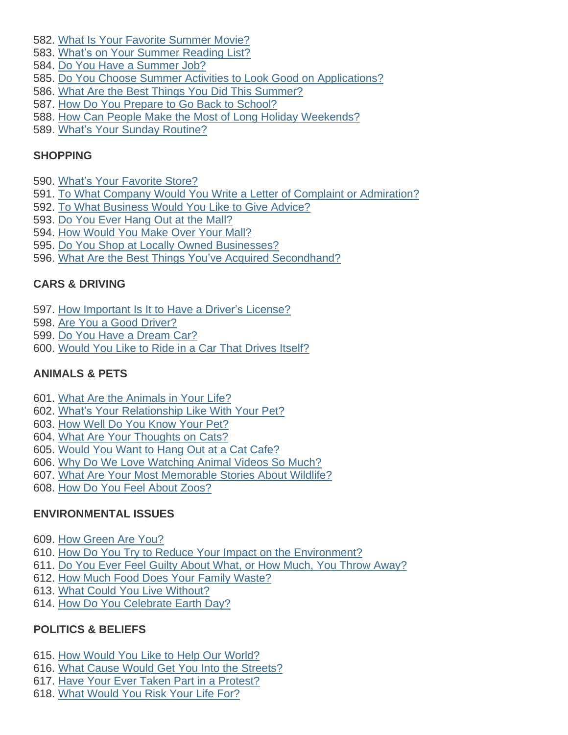- 582. What Is Your Favorite [Summer](http://learning.blogs.nytimes.com/2010/05/04/what-is-your-favorite-summer-movie/) Movie?
- 583. What's on Your [Summer](http://learning.blogs.nytimes.com/2013/06/04/whats-on-your-summer-reading-list-3/) Reading List?
- 584. Do You Have a [Summer](http://learning.blogs.nytimes.com/2010/06/02/do-you-have-a-summer-job/) Job?
- 585. Do You Choose Summer Activities to Look Good on [Applications?](http://learning.blogs.nytimes.com/2011/08/10/do-you-choose-summer-activities-to-look-good-on-applications/)
- 586. What Are the Best Things You Did This [Summer?](http://learning.blogs.nytimes.com/2014/09/02/what-are-the-best-things-you-did-this-summer/)
- 587. How Do You Prepare to Go Back to [School?](http://learning.blogs.nytimes.com/2011/08/16/how-do-you-prepare-to-go-back-to-school/)
- 588. How Can People Make the Most of Long Holiday [Weekends?](http://learning.blogs.nytimes.com/2013/12/02/how-can-people-make-the-most-of-long-holiday-weekends/)
- 589. What's Your Sunday [Routine?](http://learning.blogs.nytimes.com/2011/01/24/whats-your-sunday-routine/)

## **SHOPPING**

- 590. What's Your [Favorite](http://learning.blogs.nytimes.com/2010/04/20/whats-your-favorite-store-why/) Store?
- 591. To What Company Would You Write a Letter of Complaint or [Admiration?](http://learning.blogs.nytimes.com/2012/10/02/to-what-company-would-you-write-a-letter-of-complaint-or-admiration/)
- 592. To What [Business](http://learning.blogs.nytimes.com/2010/10/25/to-what-business-would-you-like-to-give-advice/) Would You Like to Give Advice?
- 593. Do You Ever Hang Out at the [Mall?](http://learning.blogs.nytimes.com/2015/01/07/is-the-shopping-mall-still-an-important-part-of-teenage-culture/)
- 594. How [Would](http://learning.blogs.nytimes.com/2012/02/08/how-would-you-make-over-your-mall/) You Make Over Your Mall?
- 595. Do You Shop at Locally Owned [Businesses?](http://learning.blogs.nytimes.com/2011/11/14/do-you-shop-at-locally-owned-businesses/)
- 596. What Are the Best Things You've Acquired [Secondhand?](http://learning.blogs.nytimes.com/2011/05/19/what-are-the-best-things-youve-acquired-secondhand/)

# **CARS & DRIVING**

- 597. How [Important](http://learning.blogs.nytimes.com/2012/03/12/how-important-is-it-to-have-a-drivers-license/) Is It to Have a Driver's License?
- 598. Are You a Good [Driver?](http://learning.blogs.nytimes.com/2011/04/20/are-you-a-good-driver/)
- 599. Do You Have a [Dream](http://learning.blogs.nytimes.com/2014/12/01/do-you-have-a-dream-car/) Car?
- 600. [Would](http://learning.blogs.nytimes.com/2015/05/04/would-you-like-to-ride-in-a-car-that-drives-itself/) You Like to Ride in a Car That Drives Itself?

## **ANIMALS & PETS**

- 601. What Are the [Animals](http://learning.blogs.nytimes.com/2016/03/24/student-question-what-are-the-animals-in-your-life/) in Your Life?
- 602. What's Your [Relationship](http://learning.blogs.nytimes.com/2015/02/25/whats-your-relationship-like-with-your-pet/) Like With Your Pet?
- 603. How Well Do You [Know](http://learning.blogs.nytimes.com/2013/01/31/how-well-do-you-know-your-pet/) Your Pet?
- 604. What Are Your [Thoughts](http://learning.blogs.nytimes.com/2015/03/30/what-are-your-thoughts-on-cats/) on Cats?
- 605. [Would](http://learning.blogs.nytimes.com/2015/11/09/student-opinion-do-you-want-to-hang-out-at-a-cat-cafe/) You Want to Hang Out at a Cat Cafe?
- 606. Why Do We Love [Watching](http://learning.blogs.nytimes.com/2016/03/18/student-question-why-do-we-love-watching-animal-videos-so-much/) Animal Videos So Much?
- 607. What Are Your Most [Memorable](http://learning.blogs.nytimes.com/2015/10/19/what-are-your-most-memorable-stories-about-wildlife/) Stories About Wildlife?
- 608. How Do You Feel About [Zoos?](http://learning.blogs.nytimes.com/2012/03/14/how-do-you-feel-about-zoos/)

## **ENVIRONMENTAL ISSUES**

- 609. How [Green](http://learning.blogs.nytimes.com/2015/05/05/how-green-are-you/) Are You?
- 610. How Do You Try to Reduce Your Impact on the [Environment?](http://learning.blogs.nytimes.com/2015/12/04/how-do-you-try-to-reduce-your-personal-contribution-to-climate-change-and-environmental-degradation/)
- 611. Do You Ever Feel Guilty About What, or How Much, You Throw [Away?](http://learning.blogs.nytimes.com/2013/03/20/do-you-ever-feel-guilty-about-what-or-how-much-you-throw-away/)
- 612. How Much Food Does Your Family [Waste?](http://learning.blogs.nytimes.com/2010/11/03/student-opinion-how-much-food-does-your-family-waste/)
- 613. What Could You Live [Without?](http://learning.blogs.nytimes.com/2010/01/25/what-could-you-live-without/)
- 614. How Do You [Celebrate](http://learning.blogs.nytimes.com/2016/04/22/student-question-how-do-you-celebrate-earth-day/) Earth Day?

# **POLITICS & BELIEFS**

- 615. How Would You Like to Help Our [World?](http://learning.blogs.nytimes.com/2010/11/12/how-would-you-like-to-help-our-world/)
- 616. What Cause Would Get You Into the [Streets?](http://learning.blogs.nytimes.com/2011/02/09/what-cause-would-get-you-into-the-streets/)
- 617. Have Your Ever Taken Part in a [Protest?](http://learning.blogs.nytimes.com/2014/12/11/have-your-ever-taken-part-in-a-protest/)
- 618. What [Would](http://learning.blogs.nytimes.com/2010/10/27/what-would-you-risk-your-life-for/) You Risk Your Life For?